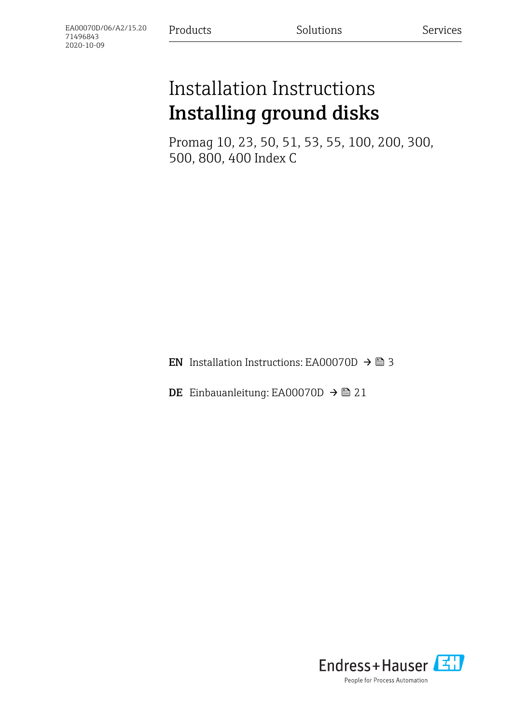# Installation Instructions Installing ground disks

Promag 10, 23, 50, 51, 53, 55, 100, 200, 300, 500, 800, 400 Index C

**EN** Installation Instructions: EA00070D  $\rightarrow$  **△** 3

DE Einbauanleitung: EA00070D →  $\triangleq$  21

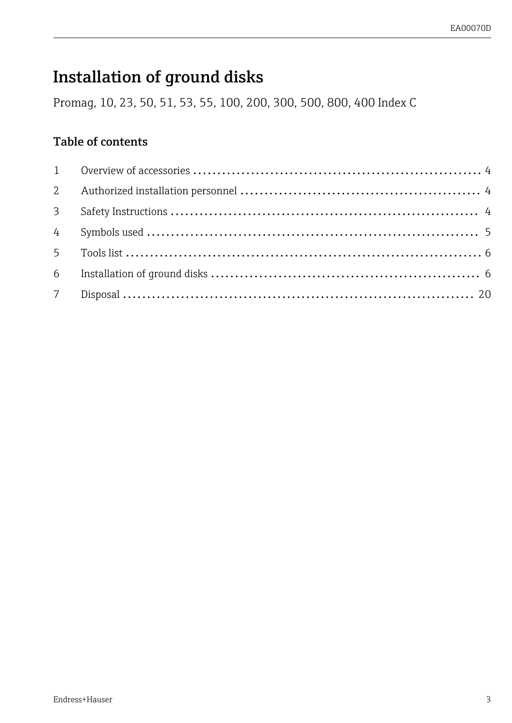## <span id="page-2-0"></span>Installation of ground disks

Promag, 10, 23, 50, 51, 53, 55, 100, 200, 300, 500, 800, 400 Index C

### Table of contents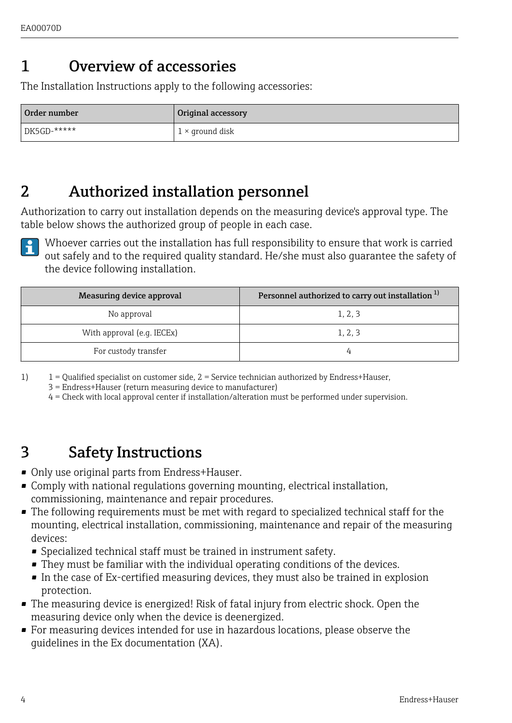## <span id="page-3-0"></span>1 Overview of accessories

The Installation Instructions apply to the following accessories:

| Order number   | Original accessory     |
|----------------|------------------------|
| $DE5GD$ -***** | $1 \times$ ground disk |

### 2 Authorized installation personnel

Authorization to carry out installation depends on the measuring device's approval type. The table below shows the authorized group of people in each case.



Whoever carries out the installation has full responsibility to ensure that work is carried out safely and to the required quality standard. He/she must also guarantee the safety of the device following installation.

| Measuring device approval  | Personnel authorized to carry out installation <sup>1)</sup> |
|----------------------------|--------------------------------------------------------------|
| No approval                | 1.2.3                                                        |
| With approval (e.g. IECEx) | 1, 2, 3                                                      |
| For custody transfer       |                                                              |

1) 1 = Qualified specialist on customer side, 2 = Service technician authorized by Endress+Hauser,

3 = Endress+Hauser (return measuring device to manufacturer)

4 = Check with local approval center if installation/alteration must be performed under supervision.

### 3 Safety Instructions

- Only use original parts from Endress+Hauser.
- Comply with national regulations governing mounting, electrical installation, commissioning, maintenance and repair procedures.
- The following requirements must be met with regard to specialized technical staff for the mounting, electrical installation, commissioning, maintenance and repair of the measuring devices:
	- Specialized technical staff must be trained in instrument safety.
	- They must be familiar with the individual operating conditions of the devices.
	- In the case of Ex-certified measuring devices, they must also be trained in explosion protection.
- The measuring device is energized! Risk of fatal injury from electric shock. Open the measuring device only when the device is deenergized.
- For measuring devices intended for use in hazardous locations, please observe the guidelines in the Ex documentation (XA).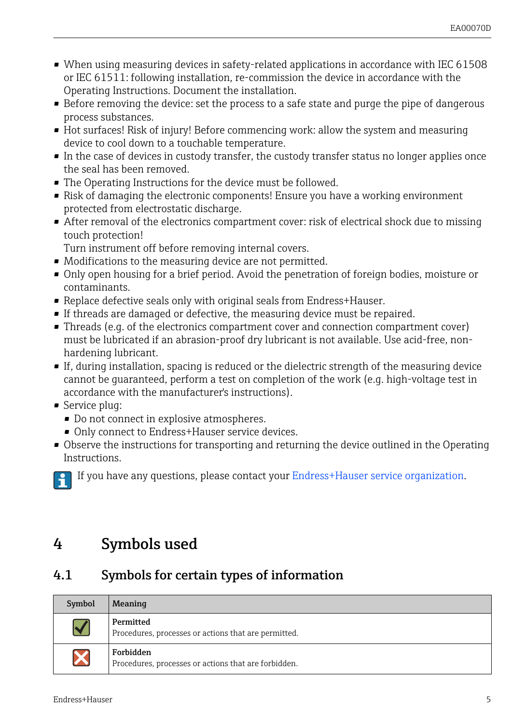- <span id="page-4-0"></span>• When using measuring devices in safety-related applications in accordance with IEC 61508 or IEC 61511: following installation, re-commission the device in accordance with the Operating Instructions. Document the installation.
- Before removing the device: set the process to a safe state and purge the pipe of dangerous process substances.
- Hot surfaces! Risk of injury! Before commencing work: allow the system and measuring device to cool down to a touchable temperature.
- In the case of devices in custody transfer, the custody transfer status no longer applies once the seal has been removed.
- The Operating Instructions for the device must be followed.
- Risk of damaging the electronic components! Ensure you have a working environment protected from electrostatic discharge.
- After removal of the electronics compartment cover: risk of electrical shock due to missing touch protection!
	- Turn instrument off before removing internal covers.
- Modifications to the measuring device are not permitted.
- Only open housing for a brief period. Avoid the penetration of foreign bodies, moisture or contaminants.
- Replace defective seals only with original seals from Endress+Hauser.
- If threads are damaged or defective, the measuring device must be repaired.
- Threads (e.g. of the electronics compartment cover and connection compartment cover) must be lubricated if an abrasion-proof dry lubricant is not available. Use acid-free, nonhardening lubricant.
- If, during installation, spacing is reduced or the dielectric strength of the measuring device cannot be guaranteed, perform a test on completion of the work (e.g. high-voltage test in accordance with the manufacturer's instructions).
- Service plug:
	- Do not connect in explosive atmospheres.
	- Only connect to Endress+Hauser service devices.
- Observe the instructions for transporting and returning the device outlined in the Operating Instructions.

If you have any questions, please contact your [Endress+Hauser service organization](http://addresses.endress.com).

### 4 Symbols used

### 4.1 Symbols for certain types of information

| Symbol               | Meaning                                                           |
|----------------------|-------------------------------------------------------------------|
| $\blacktriangledown$ | Permitted<br>Procedures, processes or actions that are permitted. |
| $\bm{\mathsf{X}}$    | Forbidden<br>Procedures, processes or actions that are forbidden. |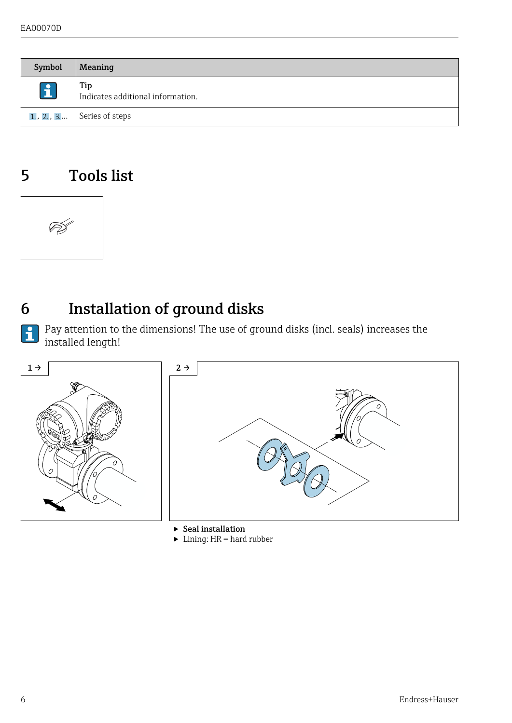<span id="page-5-0"></span>

| Symbol       | Meaning                                  |
|--------------|------------------------------------------|
| $\mathbf{1}$ | Tip<br>Indicates additional information. |
|              | 1., 2., 3 Series of steps                |

### 5 Tools list



 $\mathbf{f}$ 

## 6 Installation of ground disks

Pay attention to the dimensions! The use of ground disks (incl. seals) increases the installed length!



 $\blacktriangleright$  Lining: HR = hard rubber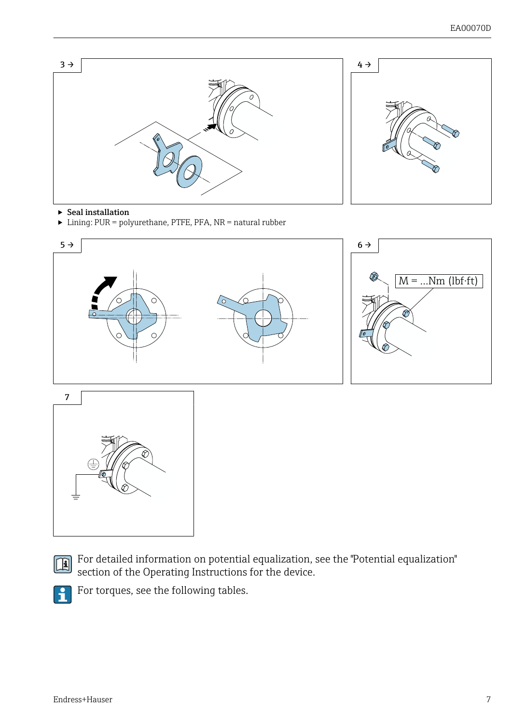

- $\blacktriangleright$  Seal installation
- ‣ Lining: PUR = polyurethane, PTFE, PFA, NR = natural rubber





For detailed information on potential equalization, see the "Potential equalization" section of the Operating Instructions for the device.



For torques, see the following tables.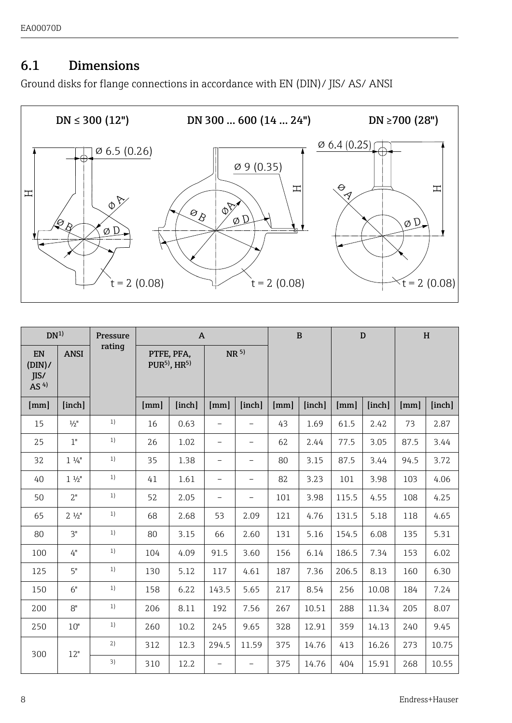#### 6.1 Dimensions

Ground disks for flange connections in accordance with EN (DIN)/ JIS/ AS/ ANSI



| DN <sup>1</sup>                 |                 | Pressure |      | $\mathbf{A}$                            |                          |                          |      | $\mathbf{B}$ | D     |        | H    |        |
|---------------------------------|-----------------|----------|------|-----------------------------------------|--------------------------|--------------------------|------|--------------|-------|--------|------|--------|
| EN<br>(DIN)/<br>IIS/<br>AS $4)$ | <b>ANSI</b>     | rating   |      | PTFE, PFA,<br>$PUR5$ , HR <sup>5)</sup> | NR <sup>5</sup>          |                          |      |              |       |        |      |        |
| [mm]                            | [inch]          |          | [mm] | [inch]                                  | [mm]                     | [inch]                   | [mm] | [inch]       | [mm]  | [inch] | [mm] | [inch] |
| 15                              | $\frac{1}{2}$ " | 1)       | 16   | 0.63                                    |                          | ÷,                       | 43   | 1.69         | 61.5  | 2.42   | 73   | 2.87   |
| 25                              | 1"              | 1)       | 26   | 1.02                                    | $\overline{\phantom{0}}$ | $\overline{\phantom{0}}$ | 62   | 2.44         | 77.5  | 3.05   | 87.5 | 3.44   |
| 32                              | $1\frac{1}{4}$  | 1)       | 35   | 1.38                                    | $\overline{\phantom{0}}$ | -                        | 80   | 3.15         | 87.5  | 3.44   | 94.5 | 3.72   |
| 40                              | $1 \frac{1}{2}$ | 1)       | 41   | 1.61                                    | $\overline{\phantom{0}}$ | $\overline{\phantom{0}}$ | 82   | 3.23         | 101   | 3.98   | 103  | 4.06   |
| 50                              | 2"              | 1)       | 52   | 2.05                                    | $\overline{\phantom{0}}$ | $\overline{\phantom{0}}$ | 101  | 3.98         | 115.5 | 4.55   | 108  | 4.25   |
| 65                              | $2\frac{1}{2}$  | 1)       | 68   | 2.68                                    | 53                       | 2.09                     | 121  | 4.76         | 131.5 | 5.18   | 118  | 4.65   |
| 80                              | 3"              | 1)       | 80   | 3.15                                    | 66                       | 2.60                     | 131  | 5.16         | 154.5 | 6.08   | 135  | 5.31   |
| 100                             | 4"              | 1)       | 104  | 4.09                                    | 91.5                     | 3.60                     | 156  | 6.14         | 186.5 | 7.34   | 153  | 6.02   |
| 125                             | 5"              | 1)       | 130  | 5.12                                    | 117                      | 4.61                     | 187  | 7.36         | 206.5 | 8.13   | 160  | 6.30   |
| 150                             | 6"              | 1)       | 158  | 6.22                                    | 143.5                    | 5.65                     | 217  | 8.54         | 256   | 10.08  | 184  | 7.24   |
| 200                             | 8"              | 1)       | 206  | 8.11                                    | 192                      | 7.56                     | 267  | 10.51        | 288   | 11.34  | 205  | 8.07   |
| 250                             | 10"             | 1)       | 260  | 10.2                                    | 245                      | 9.65                     | 328  | 12.91        | 359   | 14.13  | 240  | 9.45   |
| 300                             | 12"             | 2)       | 312  | 12.3                                    | 294.5                    | 11.59                    | 375  | 14.76        | 413   | 16.26  | 273  | 10.75  |
|                                 |                 | 3)       | 310  | 12.2                                    | $\overline{\phantom{0}}$ | $\overline{\phantom{a}}$ | 375  | 14.76        | 404   | 15.91  | 268  | 10.55  |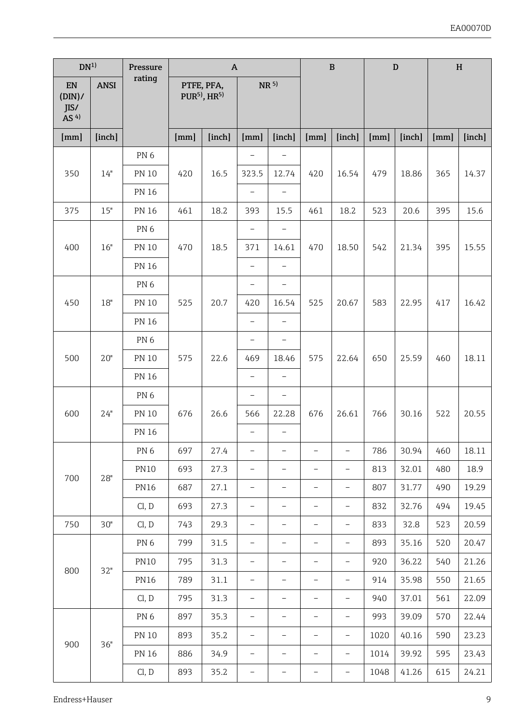| DN <sup>1</sup>                         |             | Pressure        |      | $\mathsf{A}$                                       |                          |                          |                          | B                        |      | D      |      | H      |
|-----------------------------------------|-------------|-----------------|------|----------------------------------------------------|--------------------------|--------------------------|--------------------------|--------------------------|------|--------|------|--------|
| EN<br>(DIN)/<br>IIS/<br>AS <sup>4</sup> | <b>ANSI</b> | rating          |      | PTFE, PFA,<br>PUR <sup>5)</sup> , HR <sup>5)</sup> |                          | NR 5)                    |                          |                          |      |        |      |        |
| [mm]                                    | [inch]      |                 | [mm] | [inch]                                             | [mm]                     | [inch]                   | [mm]                     | [inch]                   | [mm] | [inch] | [mm] | [inch] |
|                                         |             | PN <sub>6</sub> |      |                                                    |                          |                          |                          |                          |      |        |      |        |
| 350                                     | 14"         | <b>PN 10</b>    | 420  | 16.5                                               | 323.5                    | 12.74                    | 420                      | 16.54                    | 479  | 18.86  | 365  | 14.37  |
|                                         |             | <b>PN 16</b>    |      |                                                    | $\overline{a}$           | $\overline{a}$           |                          |                          |      |        |      |        |
| 375                                     | 15"         | <b>PN 16</b>    | 461  | 18.2                                               | 393                      | 15.5                     | 461                      | 18.2                     | 523  | 20.6   | 395  | 15.6   |
| 400                                     |             | PN <sub>6</sub> |      |                                                    | $\bar{ }$                | $\overline{\phantom{0}}$ |                          |                          |      |        |      |        |
|                                         | 16"         | <b>PN 10</b>    | 470  | 18.5                                               | 371                      | 14.61                    | 470                      | 18.50                    | 542  | 21.34  | 395  | 15.55  |
|                                         |             | <b>PN 16</b>    |      |                                                    |                          |                          |                          |                          |      |        |      |        |
|                                         |             | PN <sub>6</sub> |      |                                                    | $\overline{a}$           | $\overline{\phantom{0}}$ |                          |                          |      | 22.95  | 417  | 16.42  |
| 450                                     | 18"         | <b>PN 10</b>    | 525  | 20.7                                               | 420                      | 16.54                    | 525                      | 20.67                    | 583  |        |      |        |
|                                         |             | <b>PN 16</b>    |      |                                                    | $\overline{a}$           | $\overline{a}$           |                          |                          |      |        |      |        |
| 500                                     |             | PN <sub>6</sub> |      |                                                    | L                        |                          |                          |                          |      |        |      |        |
|                                         | 20"         | <b>PN 10</b>    | 575  | 22.6                                               | 469                      | 18.46                    | 575                      | 22.64                    | 650  | 25.59  | 460  | 18.11  |
|                                         |             | <b>PN 16</b>    |      |                                                    | $\overline{a}$           | $\overline{a}$           |                          |                          |      |        |      |        |
|                                         |             | PN <sub>6</sub> |      |                                                    | $\overline{\phantom{0}}$ | $\overline{a}$           |                          |                          |      |        |      |        |
| 600                                     | 24"         | <b>PN 10</b>    | 676  | 26.6                                               | 566                      | 22.28                    | 676                      | 26.61                    | 766  | 30.16  | 522  | 20.55  |
|                                         |             | <b>PN 16</b>    |      |                                                    |                          |                          |                          |                          |      |        |      |        |
|                                         |             | PN <sub>6</sub> | 697  | 27.4                                               | -                        | L,                       | $\overline{a}$           | $\overline{\phantom{a}}$ | 786  | 30.94  | 460  | 18.11  |
| 700                                     | 28"         | <b>PN10</b>     | 693  | 27.3                                               | $\overline{\phantom{0}}$ | $\overline{\phantom{0}}$ | $\overline{\phantom{0}}$ | $\overline{a}$           | 813  | 32.01  | 480  | 18.9   |
|                                         |             | <b>PN16</b>     | 687  | 27.1                                               | $\overline{\phantom{a}}$ | $\overline{\phantom{0}}$ | $\overline{\phantom{0}}$ | $\overline{\phantom{a}}$ | 807  | 31.77  | 490  | 19.29  |
|                                         |             | Cl, D           | 693  | 27.3                                               | $\overline{a}$           | $\overline{a}$           | $\overline{a}$           | $\overline{\phantom{a}}$ | 832  | 32.76  | 494  | 19.45  |
| 750                                     | 30"         | Cl, D           | 743  | 29.3                                               | $\overline{\phantom{0}}$ | L                        |                          | ۳                        | 833  | 32.8   | 523  | 20.59  |
|                                         |             | PN <sub>6</sub> | 799  | 31.5                                               | $\bar{ }$                | $\overline{\phantom{0}}$ | $\bar{ }$                | $\overline{\phantom{a}}$ | 893  | 35.16  | 520  | 20.47  |
|                                         |             | <b>PN10</b>     | 795  | 31.3                                               | $\overline{a}$           | $\overline{\phantom{0}}$ | $\overline{\phantom{0}}$ | $\overline{\phantom{0}}$ | 920  | 36.22  | 540  | 21.26  |
| 800                                     | 32"         | <b>PN16</b>     | 789  | 31.1                                               | $\bar{ }$                | $\overline{\phantom{0}}$ | $\overline{a}$           | $\overline{\phantom{0}}$ | 914  | 35.98  | 550  | 21.65  |
|                                         |             | Cl. D           | 795  | 31.3                                               | $\overline{a}$           | $\overline{a}$           |                          |                          | 940  | 37.01  | 561  | 22.09  |
|                                         |             | PN <sub>6</sub> | 897  | 35.3                                               | $\overline{\phantom{0}}$ | $\overline{a}$           | ۳                        | ٠                        | 993  | 39.09  | 570  | 22.44  |
|                                         |             | <b>PN 10</b>    | 893  | 35.2                                               | $\overline{\phantom{0}}$ | $\overline{a}$           | $\overline{a}$           | $\overline{\phantom{a}}$ | 1020 | 40.16  | 590  | 23.23  |
| 900                                     | 36"         | <b>PN 16</b>    | 886  | 34.9                                               | $\overline{\phantom{a}}$ | L,                       | $\overline{\phantom{0}}$ | $\overline{\phantom{a}}$ | 1014 | 39.92  | 595  | 23.43  |
|                                         |             | Cl, D           | 893  | 35.2                                               | $\overline{\phantom{0}}$ | $\overline{\phantom{0}}$ | $\overline{\phantom{a}}$ | $\bar{ }$                | 1048 | 41.26  | 615  | 24.21  |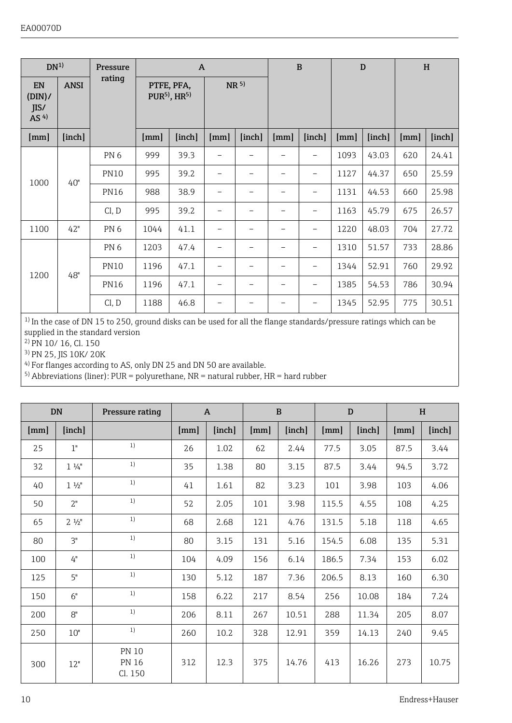| DN <sup>1</sup>                 |             | Pressure        |      | $\mathbf{A}$                            |                 |        |                          | B      | D    |        | H    |        |
|---------------------------------|-------------|-----------------|------|-----------------------------------------|-----------------|--------|--------------------------|--------|------|--------|------|--------|
| EN<br>(DIN)/<br>IIS/<br>AS $4)$ | <b>ANSI</b> | rating          |      | PTFE, PFA,<br>$PUR5$ , HR <sup>5)</sup> | NR <sup>5</sup> |        |                          |        |      |        |      |        |
| [mm]                            | [inch]      |                 | [mm] | [inch]                                  | [mm]            | [inch] | [mm]                     | [inch] | [mm] | [inch] | [mm] | [inch] |
|                                 | 40"         | PN <sub>6</sub> | 999  | 39.3                                    | -               | -      | -                        | -      | 1093 | 43.03  | 620  | 24.41  |
| 1000                            |             | <b>PN10</b>     | 995  | 39.2                                    | -               | -      | -                        | -      | 1127 | 44.37  | 650  | 25.59  |
|                                 |             | <b>PN16</b>     | 988  | 38.9                                    |                 | -      |                          | -      | 1131 | 44.53  | 660  | 25.98  |
|                                 |             | Cl, D           | 995  | 39.2                                    | -               | -      | $\overline{\phantom{a}}$ | -      | 1163 | 45.79  | 675  | 26.57  |
| 1100                            | 42"         | PN <sub>6</sub> | 1044 | 41.1                                    | -               | -      | $\overline{\phantom{a}}$ | -      | 1220 | 48.03  | 704  | 27.72  |
|                                 |             | PN <sub>6</sub> | 1203 | 47.4                                    | -               | -      |                          | ۰      | 1310 | 51.57  | 733  | 28.86  |
| 1200                            | 48"         | <b>PN10</b>     | 1196 | 47.1                                    | -               | -      | $\overline{\phantom{a}}$ | -      | 1344 | 52.91  | 760  | 29.92  |
|                                 |             | <b>PN16</b>     | 1196 | 47.1                                    | -               | -      | $\overline{\phantom{a}}$ | -      | 1385 | 54.53  | 786  | 30.94  |
|                                 |             | Cl, D           | 1188 | 46.8                                    |                 |        |                          |        | 1345 | 52.95  | 775  | 30.51  |

<sup>1)</sup> In the case of DN 15 to 250, ground disks can be used for all the flange standards/pressure ratings which can be supplied in the standard version

2) PN 10/ 16, Cl. 150

3) PN 25, JIS 10K/ 20K

4) For flanges according to AS, only DN 25 and DN 50 are available.

5) Abbreviations (liner): PUR = polyurethane, NR = natural rubber, HR = hard rubber

|      | <b>DN</b>       | Pressure rating                         |      | $\mathbf{A}$ | $\mathbf{B}$ |        |       | D      | H    |        |
|------|-----------------|-----------------------------------------|------|--------------|--------------|--------|-------|--------|------|--------|
| [mm] | [inch]          |                                         | [mm] | [inch]       | [mm]         | [inch] | [mm]  | [inch] | [mm] | [inch] |
| 2.5  | 1"              | 1)                                      | 26   | 1.02         | 62           | 2.44   | 77.5  | 3.05   | 87.5 | 3.44   |
| 32   | $1\frac{1}{4}$  | 1)                                      | 35   | 1.38         | 80           | 3.15   | 87.5  | 3.44   | 94.5 | 3.72   |
| 40   | $1 \frac{1}{2}$ | 1)                                      | 41   | 1.61         | 82           | 3.23   | 101   | 3.98   | 103  | 4.06   |
| 50   | 2"              | 1)                                      | 52   | 2.05         | 101          | 3.98   | 115.5 | 4.55   | 108  | 4.25   |
| 65   | 2.1/2"          | 1)                                      | 68   | 2.68         | 121          | 4.76   | 131.5 | 5.18   | 118  | 4.65   |
| 80   | 3"              | 1)                                      | 80   | 3.15         | 131          | 5.16   | 154.5 | 6.08   | 135  | 5.31   |
| 100  | 4"              | 1)                                      | 104  | 4.09         | 156          | 6.14   | 186.5 | 7.34   | 153  | 6.02   |
| 125  | 5"              | 1)                                      | 130  | 5.12         | 187          | 7.36   | 206.5 | 8.13   | 160  | 6.30   |
| 150  | 6"              | 1)                                      | 158  | 6.22         | 217          | 8.54   | 256   | 10.08  | 184  | 7.24   |
| 200  | R <sup>n</sup>  | 1)                                      | 206  | 8.11         | 267          | 10.51  | 288   | 11.34  | 205  | 8.07   |
| 250  | 10"             | 1)                                      | 260  | 10.2         | 328          | 12.91  | 359   | 14.13  | 240  | 9.45   |
| 300  | 12"             | <b>PN 10</b><br><b>PN 16</b><br>Cl. 150 | 312  | 12.3         | 375          | 14.76  | 413   | 16.26  | 273  | 10.75  |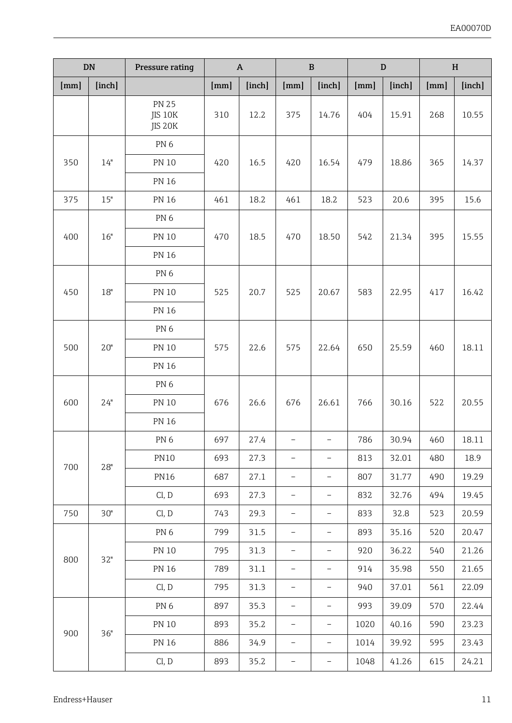|      | DN     | Pressure rating                    |      | $\boldsymbol{\mathsf{A}}$ |                          | B                        |      | D      | H            |        |
|------|--------|------------------------------------|------|---------------------------|--------------------------|--------------------------|------|--------|--------------|--------|
| [mm] | [inch] |                                    | [mm] | [inch]                    | [mm]                     | [inch]                   | [mm] | [inch] | ${\rm [mm]}$ | [inch] |
|      |        | <b>PN 25</b><br>JIS 10K<br>JIS 20K | 310  | 12.2                      | 375                      | 14.76                    | 404  | 15.91  | 268          | 10.55  |
|      |        | PN 6                               |      |                           |                          |                          |      |        |              |        |
| 350  | 14"    | <b>PN 10</b>                       | 420  | 16.5                      | 420                      | 16.54                    | 479  | 18.86  | 365          | 14.37  |
|      |        | PN 16                              |      |                           |                          |                          |      |        |              |        |
| 375  | 15"    | PN 16                              | 461  | 18.2                      | 461                      | 18.2                     | 523  | 20.6   | 395          | 15.6   |
|      |        | PN <sub>6</sub>                    |      |                           |                          |                          |      |        |              |        |
| 400  | 16"    | PN 10                              | 470  | 18.5                      | 470                      | 18.50                    | 542  | 21.34  | 395          | 15.55  |
|      |        | PN 16                              |      |                           |                          |                          |      |        |              |        |
|      |        | PN <sub>6</sub>                    |      |                           |                          |                          |      |        |              |        |
| 450  | 18"    | PN 10                              | 525  | 20.7                      | 525                      | 20.67                    | 583  | 22.95  | 417          | 16.42  |
|      |        | PN 16                              |      |                           |                          |                          |      |        |              |        |
|      | 20"    | PN <sub>6</sub>                    |      |                           |                          |                          |      |        |              |        |
| 500  |        | PN 10                              | 575  | 22.6                      | 575                      | 22.64                    | 650  | 25.59  | 460          | 18.11  |
|      |        | <b>PN 16</b>                       |      |                           |                          |                          |      |        |              |        |
|      | 24"    | PN <sub>6</sub>                    | 676  |                           |                          |                          |      |        |              |        |
| 600  |        | PN 10                              |      | 26.6                      | 676                      | 26.61                    | 766  | 30.16  | 522          | 20.55  |
|      |        | PN 16                              |      |                           |                          |                          |      |        |              |        |
|      |        | PN <sub>6</sub>                    | 697  | 27.4                      | $\overline{\phantom{0}}$ | $\overline{\phantom{0}}$ | 786  | 30.94  | 460          | 18.11  |
| 700  | 28"    | <b>PN10</b>                        | 693  | 27.3                      | L,                       | L,                       | 813  | 32.01  | 480          | 18.9   |
|      |        | <b>PN16</b>                        | 687  | 27.1                      |                          |                          | 807  | 31.77  | 490          | 19.29  |
|      |        | Cl, D                              | 693  | 27.3                      | $\overline{\phantom{0}}$ | $\overline{a}$           | 832  | 32.76  | 494          | 19.45  |
| 750  | 30"    | Cl, D                              | 743  | 29.3                      | $\overline{a}$           | $\overline{a}$           | 833  | 32.8   | 523          | 20.59  |
|      |        | PN <sub>6</sub>                    | 799  | 31.5                      | $\overline{a}$           | $\overline{a}$           | 893  | 35.16  | 520          | 20.47  |
| 800  | 32"    | PN 10                              | 795  | 31.3                      |                          | Ĭ.                       | 920  | 36.22  | 540          | 21.26  |
|      |        | PN 16                              | 789  | 31.1                      | $\overline{\phantom{a}}$ | $\overline{\phantom{a}}$ | 914  | 35.98  | 550          | 21.65  |
|      |        | Cl, D                              | 795  | 31.3                      | $\overline{a}$           | $\overline{a}$           | 940  | 37.01  | 561          | 22.09  |
|      |        | PN <sub>6</sub>                    | 897  | 35.3                      | $\overline{\phantom{0}}$ | $\overline{a}$           | 993  | 39.09  | 570          | 22.44  |
| 900  | 36"    | <b>PN 10</b>                       | 893  | 35.2                      |                          |                          | 1020 | 40.16  | 590          | 23.23  |
|      |        | PN 16                              | 886  | 34.9                      | $\overline{a}$           | $\overline{a}$           | 1014 | 39.92  | 595          | 23.43  |
|      |        | Cl, D                              | 893  | 35.2                      | $\overline{\phantom{0}}$ | $\overline{\phantom{0}}$ | 1048 | 41.26  | 615          | 24.21  |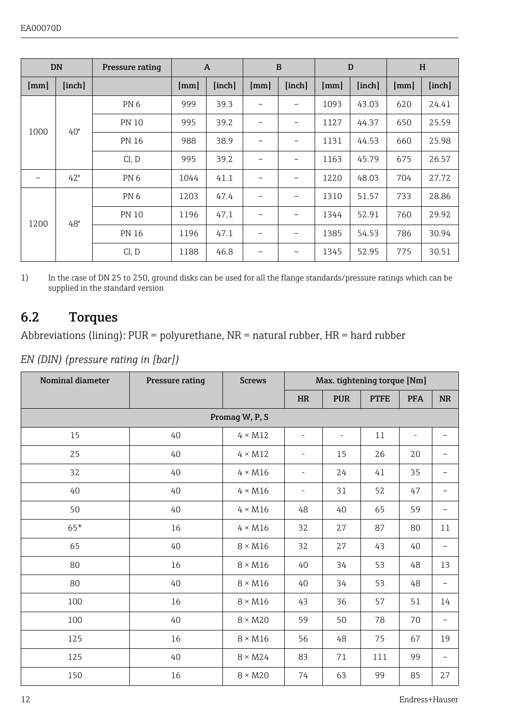<span id="page-11-0"></span>

|      | <b>DN</b> | Pressure rating | $\overline{A}$ |        |      | B                        |      | D      | H    |        |
|------|-----------|-----------------|----------------|--------|------|--------------------------|------|--------|------|--------|
| [mm] | [inch]    |                 | [mm]           | [inch] | [mm] | [inch]                   | [mm] | [inch] | [mm] | [inch] |
|      | 40"       | PN <sub>6</sub> | 999            | 39.3   |      |                          | 1093 | 43.03  | 620  | 24.41  |
| 1000 |           | <b>PN 10</b>    | 995            | 39.2   | -    | $\overline{\phantom{a}}$ | 1127 | 44.37  | 650  | 25.59  |
|      |           | <b>PN 16</b>    | 988            | 38.9   |      |                          | 1131 | 44.53  | 660  | 25.98  |
|      |           | Cl, D           | 995            | 39.2   |      |                          | 1163 | 45.79  | 675  | 26.57  |
|      | 42"       | PN <sub>6</sub> | 1044           | 41.1   |      | $\overline{\phantom{a}}$ | 1220 | 48.03  | 704  | 27.72  |
|      |           | PN <sub>6</sub> | 1203           | 47.4   |      | -                        | 1310 | 51.57  | 733  | 28.86  |
| 1200 | 48"       | <b>PN 10</b>    | 1196           | 47.1   |      |                          | 1344 | 52.91  | 760  | 29.92  |
|      |           | <b>PN 16</b>    | 1196           | 47.1   |      | $\overline{\phantom{a}}$ | 1385 | 54.53  | 786  | 30.94  |
|      |           | Cl, D           | 1188           | 46.8   |      |                          | 1345 | 52.95  | 775  | 30.51  |

1) In the case of DN 25 to 250, ground disks can be used for all the flange standards/pressure ratings which can be supplied in the standard version

### 6.2 Torques

Abbreviations (lining):  $PUR = polyurethane$ ,  $NR = natural\ rubber$ ,  $HR = hard\ rubber$ 

*EN (DIN) (pressure rating in [bar])*

| Nominal diameter | Pressure rating | <b>Screws</b>  | Max. tightening torque [Nm] |                |             |                          |                          |
|------------------|-----------------|----------------|-----------------------------|----------------|-------------|--------------------------|--------------------------|
|                  |                 |                | <b>HR</b>                   | <b>PUR</b>     | <b>PTFE</b> | <b>PFA</b>               | <b>NR</b>                |
|                  |                 | Promag W, P, S |                             |                |             |                          |                          |
| 15               | 40              | $4 \times M12$ | $\overline{\phantom{a}}$    | $\overline{a}$ | 11          | $\overline{\phantom{0}}$ |                          |
| 25               | 40              | $4 \times M12$ | ٠                           | 15             | 26          | 20                       |                          |
| 32               | 40              | $4 \times M16$ | i.                          | 24             | 41          | 35                       |                          |
| 40               | 40              | $4 \times M16$ | $\overline{\phantom{a}}$    | 31             | 52          | 47                       | $\overline{\phantom{a}}$ |
| 50               | 40              | $4 \times M16$ | 48                          | 40             | 65          | 59                       |                          |
| $65*$            | 16              | $4 \times M16$ | 32                          | 27             | 87          | 80                       | 11                       |
| 65               | 40              | $8 \times M16$ | 32                          | 27             | 43          | 40                       | $\overline{\phantom{0}}$ |
| 80               | 16              | $8 \times M16$ | 40                          | 34             | 53          | 48                       | 13                       |
| 80               | 40              | $8 \times M16$ | 40                          | 34             | 53          | 48                       | -                        |
| 100              | 16              | $8 \times M16$ | 43                          | 36             | 57          | 51                       | 14                       |
| 100              | 40              | $8 \times M20$ | 59                          | 50             | 78          | 70                       |                          |
| 125              | 16              | $8 \times M16$ | 56                          | 48             | 75          | 67                       | 19                       |
| 125              | 40              | $8 \times M24$ | 83                          | 71             | 111         | 99                       |                          |
| 150              | 16              | $8 \times M20$ | 74                          | 63             | 99          | 85                       | 27                       |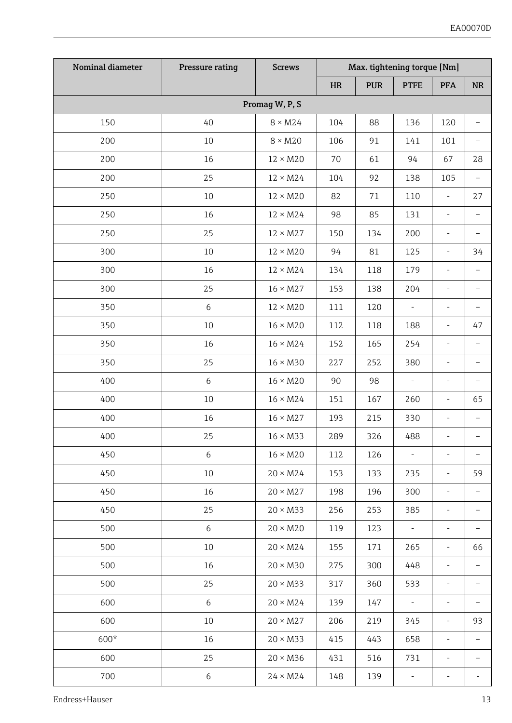| Nominal diameter | <b>Pressure rating</b> | <b>Screws</b>   | Max. tightening torque [Nm] |            |                          |                          |                          |  |
|------------------|------------------------|-----------------|-----------------------------|------------|--------------------------|--------------------------|--------------------------|--|
|                  |                        |                 | HR                          | <b>PUR</b> | <b>PTFE</b>              | <b>PFA</b>               | <b>NR</b>                |  |
|                  |                        | Promag W, P, S  |                             |            |                          |                          |                          |  |
| 150              | 40                     | $8 \times M24$  | 104                         | 88         | 136                      | 120                      | $\overline{a}$           |  |
| 200              | 10                     | $8 \times M20$  | 106                         | 91         | 141                      | 101                      |                          |  |
| 200              | 16                     | $12 \times M20$ | 70                          | 61         | 94                       | 67                       | 28                       |  |
| 200              | 25                     | $12 \times M24$ | 104                         | 92         | 138                      | 105                      | $\overline{\phantom{0}}$ |  |
| 250              | 10                     | $12 \times M20$ | 82                          | 71         | 110                      | $\overline{\phantom{a}}$ | 27                       |  |
| 250              | 16                     | $12 \times M24$ | 98                          | 85         | 131                      | L,                       | $\bar{ }$                |  |
| 250              | 25                     | $12 \times M27$ | 150                         | 134        | 200                      |                          |                          |  |
| 300              | 10                     | $12 \times M20$ | 94                          | 81         | 125                      | ÷                        | 34                       |  |
| 300              | 16                     | $12 \times M24$ | 134                         | 118        | 179                      | -                        | -                        |  |
| 300              | 25                     | $16 \times M27$ | 153                         | 138        | 204                      | $\overline{\phantom{a}}$ | Ĭ.                       |  |
| 350              | 6                      | $12 \times M20$ | 111                         | 120        | ä,                       | $\overline{\phantom{a}}$ | $\overline{\phantom{0}}$ |  |
| 350              | 10                     | $16 \times M20$ | 112                         | 118        | 188                      |                          | 47                       |  |
| 350              | 16                     | $16 \times M24$ | 152                         | 165        | 254                      | $\frac{1}{2}$            | $\overline{a}$           |  |
| 350              | 25                     | $16 \times M30$ | 227                         | 252        | 380                      | ÷                        | $\overline{\phantom{0}}$ |  |
| 400              | 6                      | $16 \times M20$ | 90                          | $98\,$     | ÷,                       | ÷                        | $\overline{a}$           |  |
| 400              | 10                     | $16 \times M24$ | 151                         | 167        | 260                      | $\overline{\phantom{a}}$ | 65                       |  |
| 400              | 16                     | $16 \times M27$ | 193                         | 215        | 330                      |                          |                          |  |
| 400              | 25                     | $16 \times M33$ | 289                         | 326        | 488                      | $\frac{1}{2}$            |                          |  |
| 450              | 6                      | $16 \times M20$ | 112                         | 126        | ÷,                       | ÷                        | $\overline{a}$           |  |
| 450              | 10                     | $20 \times M24$ | 153                         | 133        | 235                      | ÷                        | 59                       |  |
| 450              | 16                     | $20 \times M27$ | 198                         | 196        | 300                      | L,                       | $\overline{a}$           |  |
| 450              | 25                     | $20 \times M33$ | 256                         | 253        | 385                      | ÷,                       |                          |  |
| 500              | 6                      | $20 \times M20$ | 119                         | 123        | $\overline{\phantom{a}}$ | ä,                       | $\overline{\phantom{0}}$ |  |
| 500              | 10                     | $20 \times M24$ | 155                         | 171        | 265                      | ÷                        | 66                       |  |
| 500              | 16                     | $20 \times M30$ | 275                         | 300        | 448                      | ÷                        | $\overline{\phantom{0}}$ |  |
| 500              | 25                     | $20 \times M33$ | 317                         | 360        | 533                      | $\overline{\phantom{a}}$ | $\overline{\phantom{0}}$ |  |
| 600              | 6                      | $20 \times M24$ | 139                         | 147        | $\frac{1}{2}$            |                          |                          |  |
| 600              | 10                     | $20 \times M27$ | 206                         | 219        | 345                      |                          | 93                       |  |
| 600*             | 16                     | $20 \times M33$ | 415                         | 443        | 658                      | L,                       | $\overline{\phantom{0}}$ |  |
| 600              | 25                     | $20 \times M36$ | 431                         | 516        | 731                      | ÷                        | -                        |  |
| 700              | 6                      | $24 \times M24$ | 148                         | 139        | $\bar{a}$                | ÷                        | ÷,                       |  |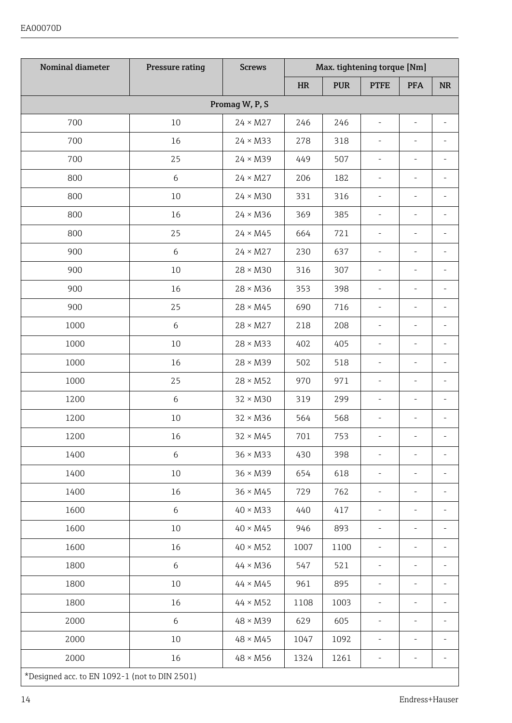#### EA00070D

| Nominal diameter                              | Pressure rating  | <b>Screws</b>   |           |            | Max. tightening torque [Nm] |                |                                   |
|-----------------------------------------------|------------------|-----------------|-----------|------------|-----------------------------|----------------|-----------------------------------|
|                                               |                  |                 | $\rm{HR}$ | <b>PUR</b> | <b>PTFE</b>                 | PFA            | $\ensuremath{\mathbf{NR}}\xspace$ |
|                                               |                  | Promag W, P, S  |           |            |                             |                |                                   |
| 700                                           | 10               | $24 \times M27$ | 246       | 246        | ä,                          | i,             |                                   |
| 700                                           | 16               | $24 \times M33$ | 278       | 318        | ÷,                          | ÷              | ä,                                |
| 700                                           | 25               | $24 \times M39$ | 449       | 507        | $\overline{\phantom{a}}$    | ä,             | ä,                                |
| 800                                           | 6                | $24 \times M27$ | 206       | 182        | ÷,                          | ÷,             | i,                                |
| 800                                           | 10               | $24 \times M30$ | 331       | 316        |                             |                |                                   |
| 800                                           | 16               | $24 \times M36$ | 369       | 385        |                             | ä,             |                                   |
| 800                                           | 25               | $24 \times M45$ | 664       | 721        | $\overline{\phantom{a}}$    | i,             | ä,                                |
| 900                                           | 6                | $24 \times M27$ | 230       | 637        | $\overline{\phantom{a}}$    | i,             | i,                                |
| 900                                           | 10               | $28 \times M30$ | 316       | 307        | ä,                          | ä,             |                                   |
| 900                                           | 16               | $28 \times M36$ | 353       | 398        |                             |                |                                   |
| 900                                           | 25               | $28 \times M45$ | 690       | 716        | ä,                          | ä,             |                                   |
| 1000                                          | $\boldsymbol{6}$ | $28 \times M27$ | 218       | 208        | $\overline{\phantom{a}}$    | ä,             | ä,                                |
| 1000                                          | 10               | $28 \times M33$ | 402       | 405        | $\overline{\phantom{a}}$    | i,             | i,                                |
| 1000                                          | 16               | $28 \times M39$ | 502       | 518        | $\overline{\phantom{a}}$    | ÷,             | ÷,                                |
| 1000                                          | 25               | $28 \times M52$ | 970       | 971        | $\overline{\phantom{a}}$    | $\overline{a}$ | J.                                |
| 1200                                          | 6                | $32 \times M30$ | 319       | 299        |                             |                |                                   |
| 1200                                          | 10               | $32 \times M36$ | 564       | 568        | i,                          | i,             |                                   |
| 1200                                          | 16               | $32 \times M45$ | 701       | 753        | ÷                           | ÷,             | í,                                |
| 1400                                          | 6                | $36 \times M33$ | 430       | 398        | ÷,                          | $\overline{a}$ | Ĭ.                                |
| 1400                                          | 10               | $36 \times M39$ | 654       | 618        | ä,                          | L,             | ä,                                |
| 1400                                          | 16               | $36 \times M45$ | 729       | 762        |                             |                |                                   |
| 1600                                          | 6                | $40 \times M33$ | 440       | 417        | i.                          | ä,             |                                   |
| 1600                                          | 10               | $40 \times M45$ | 946       | 893        | L.                          | $\overline{a}$ | $\overline{a}$                    |
| 1600                                          | 16               | $40 \times M52$ | 1007      | 1100       | $\overline{\phantom{a}}$    | ä,             | i,                                |
| 1800                                          | $\boldsymbol{6}$ | $44 \times M36$ | 547       | 521        | ä,                          | ä,             |                                   |
| 1800                                          | 10               | $44 \times M45$ | 961       | 895        | J.                          | ä,             | ä,                                |
| 1800                                          | 16               | $44 \times M52$ | 1108      | 1003       | L,                          | ä,             |                                   |
| 2000                                          | 6                | $48 \times M39$ | 629       | 605        | $\overline{\phantom{a}}$    | i,             | i,                                |
| 2000                                          | 10               | $48 \times M45$ | 1047      | 1092       | ä,                          | i,             |                                   |
| 2000                                          | 16               | $48 \times M56$ | 1324      | 1261       | $\overline{\phantom{a}}$    | ÷              | i,                                |
| *Designed acc. to EN 1092-1 (not to DIN 2501) |                  |                 |           |            |                             |                |                                   |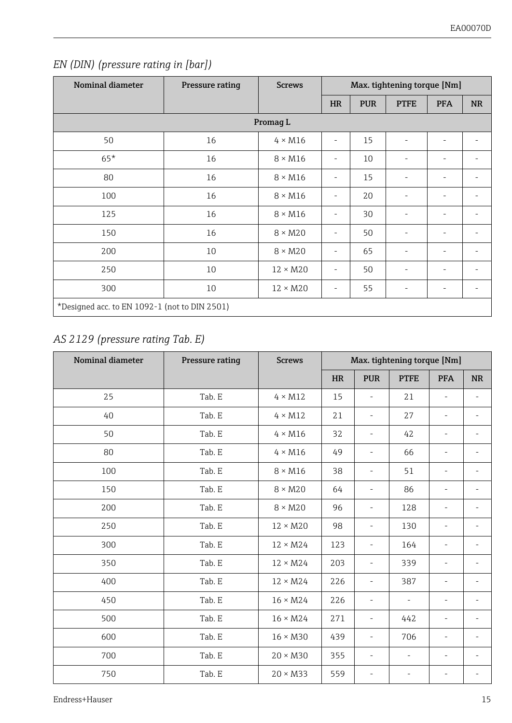| Nominal diameter                              | Pressure rating | <b>Screws</b>   |           |            | Max. tightening torque [Nm] |            |           |  |
|-----------------------------------------------|-----------------|-----------------|-----------|------------|-----------------------------|------------|-----------|--|
|                                               |                 |                 | <b>HR</b> | <b>PUR</b> | <b>PTFE</b>                 | <b>PFA</b> | <b>NR</b> |  |
|                                               |                 | Promag L        |           |            |                             |            |           |  |
| 50                                            | 16              | $4 \times M16$  | ۰         | 15         | ٠                           | ٠          | ٠         |  |
| $65*$                                         | 16              | $8 \times M16$  | ۰         | 10         | ٠                           | ٠          | ٠         |  |
| 80                                            | 16              | $8 \times M16$  | ۰         | 15         |                             | ٠          |           |  |
| 100                                           | 16              | $8 \times M16$  | -         | 20         | ۰                           | ٠          | ٠         |  |
| 125                                           | 16              | $8 \times M16$  | -         | 30         | ٠                           | ٠          | ٠         |  |
| 150                                           | 16              | $8 \times M20$  | ۰         | 50         | ٠                           | ٠          | ٠         |  |
| 200                                           | 10              | $8 \times M20$  | ۰         | 65         | ٠                           | ٠          | ٠         |  |
| 250                                           | 10              | $12 \times M20$ | ۰         | 50         | ٠                           | ٠          | ٠         |  |
| 300                                           | 10              | $12 \times M20$ | -         | 55         | ۰                           | ٠          | ٠         |  |
| *Designed acc. to EN 1092-1 (not to DIN 2501) |                 |                 |           |            |                             |            |           |  |

#### *EN (DIN) (pressure rating in [bar])*

### *AS 2129 (pressure rating Tab. E)*

| Nominal diameter | Pressure rating | <b>Screws</b>   |           |                          | Max. tightening torque [Nm] |                          |                          |
|------------------|-----------------|-----------------|-----------|--------------------------|-----------------------------|--------------------------|--------------------------|
|                  |                 |                 | <b>HR</b> | <b>PUR</b>               | <b>PTFE</b>                 | <b>PFA</b>               | <b>NR</b>                |
| 25               | Tab. E          | $4 \times M12$  | 15        | $\overline{\phantom{m}}$ | 21                          | $\overline{a}$           | $\overline{\phantom{m}}$ |
| 40               | Tab. E          | $4 \times M12$  | 21        | $\overline{\phantom{0}}$ | 27                          | $\overline{\phantom{a}}$ | ٠                        |
| 50               | Tab. E          | $4 \times M16$  | 32        | $\overline{\phantom{m}}$ | 42                          | $\overline{\phantom{a}}$ | ٠                        |
| 80               | Tab. E          | $4 \times M16$  | 49        | ۰                        | 66                          | $\overline{\phantom{a}}$ |                          |
| 100              | Tab. E          | $8 \times M16$  | 38        | ٠                        | 51                          |                          |                          |
| 150              | Tab. E          | $8 \times M20$  | 64        | ÷                        | 86                          |                          |                          |
| 200              | Tab. E          | $8 \times M20$  | 96        | $\overline{\phantom{m}}$ | 128                         | $\overline{\phantom{a}}$ |                          |
| 250              | Tab. E          | $12 \times M20$ | 98        | $\overline{\phantom{m}}$ | 130                         | $\overline{\phantom{a}}$ | $\overline{a}$           |
| 300              | Tab. E          | $12 \times M24$ | 123       | $\overline{\phantom{m}}$ | 164                         | $\overline{\phantom{0}}$ | ٠                        |
| 350              | Tab. E          | $12 \times M24$ | 203       | $\overline{\phantom{m}}$ | 339                         | $\overline{a}$           | $\overline{a}$           |
| 400              | Tab. E          | $12 \times M24$ | 226       | ÷                        | 387                         |                          | ٠                        |
| 450              | Tab. E          | $16 \times M24$ | 226       | $\overline{\phantom{m}}$ | $\overline{a}$              | $\overline{a}$           | $\overline{\phantom{m}}$ |
| 500              | Tab. E          | $16 \times M24$ | 271       | $\overline{\phantom{a}}$ | 442                         | $\overline{\phantom{a}}$ | ٠                        |
| 600              | Tab. E          | $16 \times M30$ | 439       | $\overline{\phantom{a}}$ | 706                         | $\overline{\phantom{a}}$ | $\overline{a}$           |
| 700              | Tab. E          | $20 \times M30$ | 355       | $\overline{\phantom{m}}$ | L,                          | $\overline{a}$           | ٠                        |
| 750              | Tab. E          | $20 \times M33$ | 559       |                          |                             |                          |                          |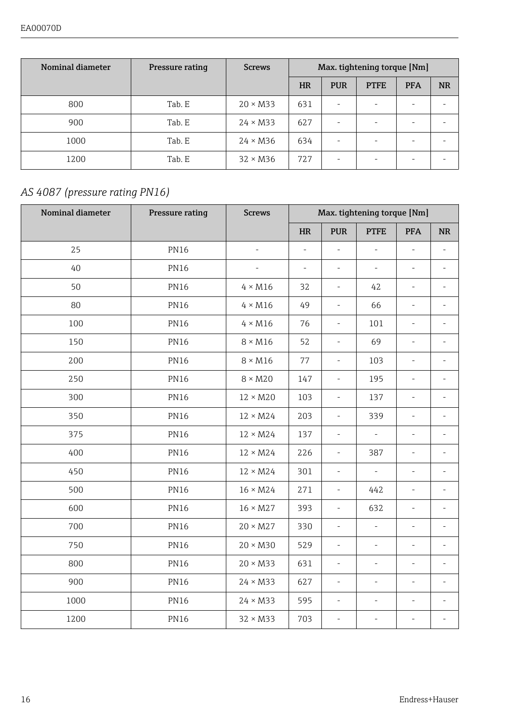| Nominal diameter | Pressure rating | <b>Screws</b>   | Max. tightening torque [Nm] |            |             |                          |           |
|------------------|-----------------|-----------------|-----------------------------|------------|-------------|--------------------------|-----------|
|                  |                 |                 | <b>HR</b>                   | <b>PUR</b> | <b>PTFE</b> | <b>PFA</b>               | <b>NR</b> |
| 800              | Tab. E          | $20 \times M33$ | 631                         | $\sim$     | ۰           | $\overline{\phantom{a}}$ |           |
| 900              | Tab. E          | $24 \times M33$ | 627                         | $\sim$     | ۰           |                          |           |
| 1000             | Tab. E          | $24 \times M36$ | 634                         | $\sim$     | ۰           |                          |           |
| 1200             | Tab. E          | $32 \times M36$ | 72.7                        | $\sim$     | $\sim$      | $\overline{\phantom{a}}$ |           |

### *AS 4087 (pressure rating PN16)*

| Nominal diameter | Pressure rating | <b>Screws</b>   |                          |                          | Max. tightening torque [Nm] |                          |                          |
|------------------|-----------------|-----------------|--------------------------|--------------------------|-----------------------------|--------------------------|--------------------------|
|                  |                 |                 | HR                       | <b>PUR</b>               | <b>PTFE</b>                 | <b>PFA</b>               | <b>NR</b>                |
| 25               | <b>PN16</b>     | ä,              | ä,                       | ×.                       | J.                          | ÷                        | L.                       |
| 40               | <b>PN16</b>     | ä,              | $\overline{\phantom{a}}$ | $\overline{\phantom{a}}$ | ×,                          | $\overline{\phantom{a}}$ | $\overline{a}$           |
| 50               | <b>PN16</b>     | $4 \times M16$  | 32                       | $\overline{\phantom{a}}$ | 42                          | $\overline{\phantom{a}}$ | ٠                        |
| 80               | <b>PN16</b>     | $4 \times M16$  | 49                       | $\sim$                   | 66                          | $\overline{\phantom{a}}$ | ٠                        |
| 100              | <b>PN16</b>     | $4 \times M16$  | 76                       | $\overline{\phantom{a}}$ | 101                         | ٠                        | ä,                       |
| 150              | <b>PN16</b>     | $8 \times M16$  | 52                       | $\overline{\phantom{a}}$ | 69                          | $\overline{\phantom{a}}$ | $\frac{1}{2}$            |
| 200              | <b>PN16</b>     | $8 \times M16$  | 77                       | $\sim$                   | 103                         | ÷,                       | $\overline{\phantom{0}}$ |
| 250              | <b>PN16</b>     | $8 \times M20$  | 147                      | $\overline{\phantom{a}}$ | 195                         | ×.                       |                          |
| 300              | <b>PN16</b>     | $12 \times M20$ | 103                      | $\overline{\phantom{a}}$ | 137                         | $\overline{\phantom{a}}$ | ä,                       |
| 350              | <b>PN16</b>     | $12 \times M24$ | 203                      | $\overline{\phantom{a}}$ | 339                         | ٠                        | $\overline{\phantom{0}}$ |
| 375              | <b>PN16</b>     | $12 \times M24$ | 137                      | $\overline{\phantom{a}}$ | ÷,                          | $\overline{\phantom{a}}$ | $\overline{\phantom{0}}$ |
| 400              | <b>PN16</b>     | $12 \times M24$ | 226                      | $\overline{\phantom{a}}$ | 387                         | $\overline{\phantom{a}}$ | ٠                        |
| 450              | <b>PN16</b>     | $12 \times M24$ | 301                      | $\overline{\phantom{a}}$ | J.                          | ä,                       | ٠                        |
| 500              | <b>PN16</b>     | $16 \times M24$ | 271                      | $\overline{\phantom{a}}$ | 442                         | $\overline{\phantom{a}}$ | ä,                       |
| 600              | <b>PN16</b>     | $16 \times M27$ | 393                      | $\overline{\phantom{a}}$ | 632                         | ÷                        | ä,                       |
| 700              | <b>PN16</b>     | $20 \times M27$ | 330                      | $\sim$                   | L,                          | ÷,                       | ä,                       |
| 750              | <b>PN16</b>     | $20 \times M30$ | 529                      | $\overline{\phantom{a}}$ | ä,                          | ٠                        | ٠                        |
| 800              | <b>PN16</b>     | $20 \times M33$ | 631                      | $\overline{\phantom{a}}$ | ×,                          | ä,                       | $\overline{\phantom{m}}$ |
| 900              | <b>PN16</b>     | $24 \times M33$ | 627                      | $\overline{\phantom{a}}$ | ä,                          | ×.                       | ٠                        |
| 1000             | <b>PN16</b>     | $24 \times M33$ | 595                      | $\overline{\phantom{a}}$ | i,                          | $\overline{\phantom{a}}$ | $\overline{\phantom{m}}$ |
| 1200             | <b>PN16</b>     | $32 \times M33$ | 703                      | ä,                       | i.                          |                          |                          |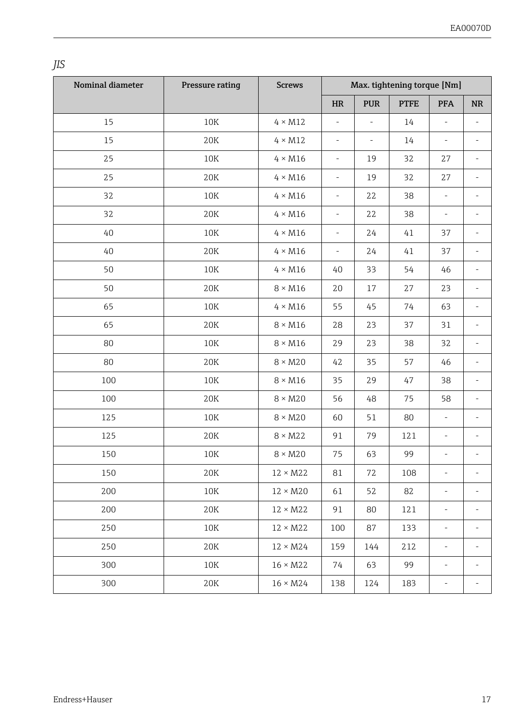|        | . | × | i,<br>I<br>٧ |
|--------|---|---|--------------|
| I<br>I |   |   |              |

| Nominal diameter | Pressure rating | <b>Screws</b>   |                          |                          | Max. tightening torque [Nm] |                          |                          |
|------------------|-----------------|-----------------|--------------------------|--------------------------|-----------------------------|--------------------------|--------------------------|
|                  |                 |                 | HR                       | <b>PUR</b>               | <b>PTFE</b>                 | <b>PFA</b>               | <b>NR</b>                |
| 15               | $10K$           | $4 \times M12$  | ÷                        |                          | 14                          | $\overline{a}$           |                          |
| 15               | 20K             | $4 \times M12$  | $\overline{\phantom{a}}$ | $\overline{\phantom{a}}$ | 14                          | ÷                        |                          |
| 25               | 10K             | $4 \times M16$  | $\overline{\phantom{a}}$ | 19                       | 32                          | 27                       | $\overline{\phantom{0}}$ |
| 25               | 20K             | $4 \times M16$  | $\overline{\phantom{a}}$ | 19                       | 32                          | 27                       |                          |
| 32               | 10K             | $4 \times M16$  | $\overline{\phantom{a}}$ | 22                       | 38                          | $\overline{\phantom{a}}$ | ä,                       |
| 32               | 20K             | $4 \times M16$  | $\overline{\phantom{a}}$ | 22                       | 38                          | $\overline{\phantom{a}}$ |                          |
| 40               | 10K             | $4 \times M16$  | $\overline{\phantom{a}}$ | 24                       | 41                          | 37                       |                          |
| 40               | 20K             | $4 \times M16$  | $\overline{\phantom{a}}$ | 24                       | 41                          | 37                       | ÷,                       |
| 50               | 10K             | $4 \times M16$  | 40                       | 33                       | 54                          | 46                       | ä,                       |
| 50               | 20K             | $8 \times M16$  | 20                       | 17                       | 27                          | 23                       | L,                       |
| 65               | $10\mathrm{K}$  | $4 \times M16$  | 55                       | 45                       | 74                          | 63                       | ÷,                       |
| 65               | 20K             | $8 \times M16$  | 28                       | 23                       | 37                          | 31                       | ä,                       |
| 80               | 10K             | $8 \times M16$  | 29                       | 23                       | 38                          | 32                       | ä,                       |
| 80               | 20K             | $8 \times M20$  | 42                       | 35                       | 57                          | 46                       | ä,                       |
| 100              | 10K             | $8 \times M16$  | 35                       | 29                       | 47                          | 38                       |                          |
| 100              | 20K             | $8 \times M20$  | 56                       | 48                       | 75                          | 58                       |                          |
| 125              | 10K             | $8 \times M20$  | 60                       | 51                       | 80                          | ÷,                       | ä,                       |
| 125              | 20K             | $8 \times M22$  | 91                       | 79                       | 121                         | $\overline{\phantom{a}}$ |                          |
| 150              | 10K             | $8 \times M20$  | 75                       | 63                       | 99                          | ÷                        |                          |
| 150              | 20K             | $12 \times M22$ | 81                       | 72                       | 108                         | ÷,                       | ÷,                       |
| 200              | 10K             | $12 \times M20$ | 61                       | 52                       | 82                          | ÷                        | ä,                       |
| 200              | 20K             | $12 \times M22$ | 91                       | 80                       | 121                         | i,                       | ä,                       |
| 250              | 10K             | $12 \times M22$ | 100                      | 87                       | 133                         | i,                       | ä,                       |
| 250              | 20K             | $12 \times M24$ | 159                      | 144                      | 212                         | ÷,                       |                          |
| 300              | 10K             | $16 \times M22$ | 74                       | 63                       | 99                          | ä,                       |                          |
| 300              | 20K             | $16 \times M24$ | 138                      | 124                      | 183                         | ä,                       | ä,                       |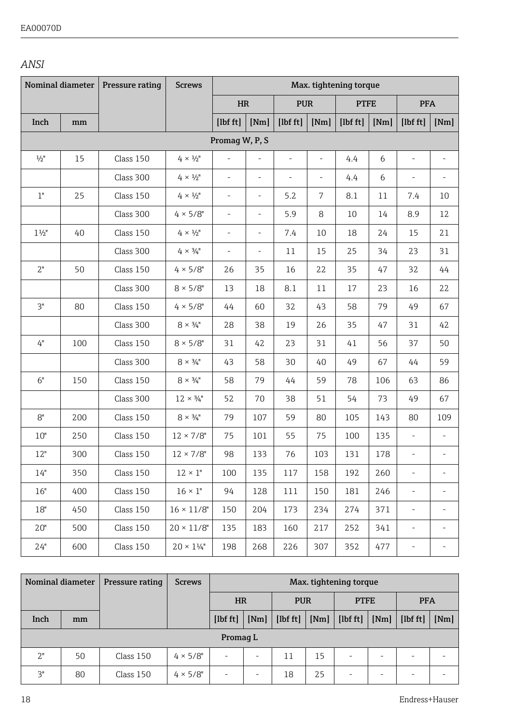#### *ANSI*

| Nominal diameter |     | Pressure rating | <b>Screws</b>             | Max. tightening torque   |                          |            |      |             |      |                          |                          |
|------------------|-----|-----------------|---------------------------|--------------------------|--------------------------|------------|------|-------------|------|--------------------------|--------------------------|
|                  |     |                 |                           | HR                       |                          | <b>PUR</b> |      | <b>PTFE</b> |      | <b>PFA</b>               |                          |
| Inch             | mm  |                 |                           | [1bf ft]                 | [Nm]                     | [1bf ft]   | [Nm] | [1bf ft]    | [Nm] | [1bf ft]                 | [Nm]                     |
|                  |     |                 |                           | Promaq W, P, S           |                          |            |      |             |      |                          |                          |
| $\frac{1}{2}$ "  | 15  | Class 150       | $4 \times \frac{1}{2}$ "  |                          | ä,                       | ÷,         | ä,   | 4.4         | 6    | ÷,                       | $\sim$                   |
|                  |     | Class 300       | $4\times 1\!\!/_2"$       | ÷,                       | L.                       | ä,         | L,   | 4.4         | 6    | ä,                       | $\overline{\phantom{0}}$ |
| 1"               | 25  | Class 150       | $4 \times \frac{1}{2}$ "  | ÷,                       | ÷                        | 5.2        | 7    | 8.1         | 11   | 7.4                      | 10                       |
|                  |     | Class 300       | $4 \times 5/8$ "          | ÷                        | $\frac{1}{2}$            | 5.9        | 8    | 10          | 14   | 8.9                      | 12                       |
| $1\frac{1}{2}$   | 40  | Class 150       | $4 \times \frac{1}{2}$ "  | $\overline{\phantom{a}}$ | $\overline{\phantom{a}}$ | 7.4        | 10   | 18          | 24   | 15                       | 21                       |
|                  |     | Class 300       | $4 \times \frac{3}{4}$ "  | $\overline{\phantom{a}}$ | ÷                        | 11         | 15   | 25          | 34   | 23                       | 31                       |
| 2"               | 50  | Class 150       | $4 \times 5/8$ "          | 26                       | 35                       | 16         | 22   | 35          | 47   | 32                       | 44                       |
|                  |     | Class 300       | $8 \times 5/8$ "          | 13                       | 18                       | 8.1        | 11   | 17          | 23   | 16                       | 22                       |
| 3"               | 80  | Class 150       | $4 \times 5/8$ "          | 44                       | 60                       | 32         | 43   | 58          | 79   | 49                       | 67                       |
|                  |     | Class 300       | $8 \times \frac{3}{4}$ "  | 28                       | 38                       | 19         | 26   | 35          | 47   | 31                       | 42                       |
| 4"               | 100 | Class 150       | $8 \times 5/8$ "          | 31                       | 42                       | 23         | 31   | 41          | 56   | 37                       | 50                       |
|                  |     | Class 300       | $8 \times \frac{3}{4}$ "  | 43                       | 58                       | 30         | 40   | 49          | 67   | 44                       | 59                       |
| 6"               | 150 | Class 150       | $8 \times \frac{3}{4}$ "  | 58                       | 79                       | 44         | 59   | 78          | 106  | 63                       | 86                       |
|                  |     | Class 300       | $12 \times \frac{3}{4}$ " | 52                       | 70                       | 38         | 51   | 54          | 73   | 49                       | 67                       |
| 8"               | 200 | Class 150       | $8 \times \frac{3}{4}$ "  | 79                       | 107                      | 59         | 80   | 105         | 143  | 80                       | 109                      |
| 10"              | 250 | Class 150       | $12 \times 7/8$ "         | 75                       | 101                      | 55         | 75   | 100         | 135  | ÷,                       | $\overline{\phantom{a}}$ |
| 12"              | 300 | Class 150       | $12 \times 7/8$ "         | 98                       | 133                      | 76         | 103  | 131         | 178  | $\frac{1}{2}$            | $\overline{\phantom{0}}$ |
| 14"              | 350 | Class 150       | $12 \times 1$ "           | 100                      | 135                      | 117        | 158  | 192         | 260  | ÷,                       | ٠                        |
| 16"              | 400 | Class 150       | $16 \times 1$ "           | 94                       | 128                      | 111        | 150  | 181         | 246  | $\overline{\phantom{a}}$ | ٠                        |
| 18"              | 450 | Class 150       | $16 \times 11/8"$         | 150                      | 204                      | 173        | 234  | 274         | 371  | $\frac{1}{2}$            | $\overline{\phantom{a}}$ |
| $20"$            | 500 | Class 150       | $20 \times 11/8"$         | 135                      | 183                      | 160        | 217  | 252         | 341  | $\overline{\phantom{a}}$ | $\overline{\phantom{a}}$ |
| 24"              | 600 | Class 150       | $20 \times 1\frac{1}{4}$  | 198                      | 268                      | 226        | 307  | 352         | 477  | ä,                       | ä,                       |

| Nominal diameter |          | Pressure rating | <b>Screws</b>    | Max. tightening torque |           |          |            |             |      |                      |      |
|------------------|----------|-----------------|------------------|------------------------|-----------|----------|------------|-------------|------|----------------------|------|
|                  |          |                 |                  |                        | <b>HR</b> |          | <b>PUR</b> | <b>PTFE</b> |      | <b>PFA</b>           |      |
| Inch             | mm       |                 |                  | $[1b f t]f$            | [Nm]      | [1bf ft] | [Nm]       |             | [Nm] | [1 <sub>bf</sub> ft] | [Nm] |
|                  | Promag L |                 |                  |                        |           |          |            |             |      |                      |      |
| 2"               | 50       | Class 150       | $4 \times 5/8$ " | ۰                      | $\sim$    | 11       | 15         |             | ۰    |                      |      |
| 3"               | 80       | Class 150       | $4 \times 5/8$ " | -                      | $\,$      | 18       | 25         | -           | ۰    | $\sim$               |      |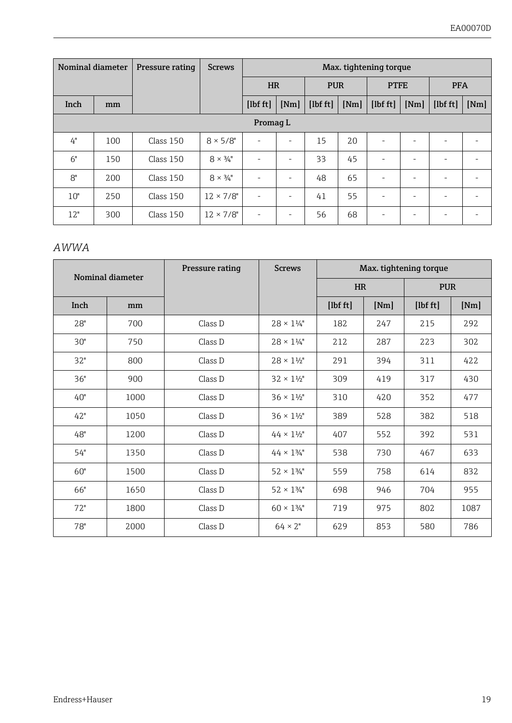| Nominal diameter |     | Pressure rating | <b>Screws</b>            | Max. tightening torque   |      |                           |      |                          |            |       |      |
|------------------|-----|-----------------|--------------------------|--------------------------|------|---------------------------|------|--------------------------|------------|-------|------|
|                  |     |                 |                          | <b>HR</b>                |      | <b>PUR</b><br><b>PTFE</b> |      |                          | <b>PFA</b> |       |      |
| Inch             | mm  |                 |                          | $[1b$ ft $]$             | [Nm] | [1bf ft]                  | [Nm] | [1bf ft]                 | [Nm]       | [1bf] | [Nm] |
| Promag L         |     |                 |                          |                          |      |                           |      |                          |            |       |      |
| 4"               | 100 | Class 150       | $8 \times 5/8$ "         | $\overline{\phantom{a}}$ | ٠    | 15                        | 2.0  |                          | ۰          |       | ۰    |
| 6"               | 150 | Class 150       | $8 \times \frac{3}{4}$ " | $\sim$                   | ٠    | 33                        | 45   | $\overline{\phantom{a}}$ | ۰          |       |      |
| 8"               | 200 | Class 150       | $8 \times \frac{3}{4}$ " |                          | ۰    | 48                        | 65   |                          | ۰          |       |      |
| 10"              | 250 | Class 150       | $12 \times 7/8$ "        | $\overline{\phantom{a}}$ | ۰    | 41                        | 55   | $\overline{\phantom{a}}$ | ۰          |       |      |
| 12"              | 300 | Class 150       | $12 \times 7/8$ "        | $\overline{\phantom{a}}$ | ۰    | 56                        | 68   | $\sim$                   | ۰          |       | ۰    |

#### *AWWA*

|      | Nominal diameter | Pressure rating | <b>Screws</b>              |           |      | Max. tightening torque |      |  |
|------|------------------|-----------------|----------------------------|-----------|------|------------------------|------|--|
|      |                  |                 |                            | <b>HR</b> |      | <b>PUR</b>             |      |  |
| Inch | mm               |                 |                            | [1bf ft]  | [Nm] | [1bf ft]               | [Nm] |  |
| 28"  | 700              | Class D         | $28 \times 1\frac{1}{4}$   | 182       | 247  | 215                    | 292  |  |
| 30"  | 750              | Class D         | $28 \times 1\frac{1}{4}$   | 212       | 287  | 223                    | 302  |  |
| 32"  | 800              | Class D         | $28 \times 1\frac{1}{2}$ " | 291       | 394  | 311                    | 422  |  |
| 36"  | 900              | Class D         | $32 \times 1\frac{1}{2}$   | 309       | 419  | 317                    | 430  |  |
| 40"  | 1000             | Class D         | $36 \times 1\frac{1}{2}$   | 310       | 420  | 352                    | 477  |  |
| 42"  | 1050             | Class D         | $36 \times 1\frac{1}{2}$   | 389       | 528  | 382                    | 518  |  |
| 48"  | 1200             | Class D         | $44 \times 1\frac{1}{2}$   | 407       | 552  | 392                    | 531  |  |
| 54"  | 1350             | Class D         | $44 \times 134$ "          | 538       | 730  | 467                    | 633  |  |
| 60"  | 1500             | Class D         | $52 \times 134$ "          | 559       | 758  | 614                    | 832  |  |
| 66"  | 1650             | Class D         | $52 \times 134$ "          | 698       | 946  | 704                    | 955  |  |
| 72"  | 1800             | Class D         | $60 \times 1\frac{3}{4}$ " | 719       | 975  | 802                    | 1087 |  |
| 78"  | 2000             | Class D         | $64 \times 2"$             | 629       | 853  | 580                    | 786  |  |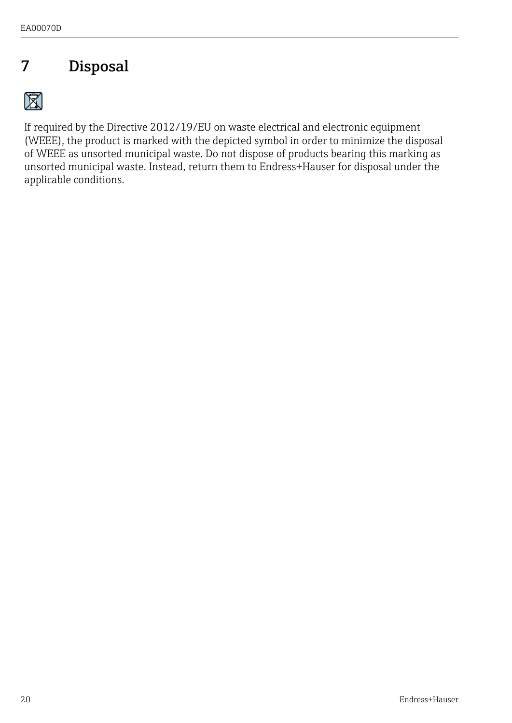## <span id="page-19-0"></span>7 Disposal

 $\boxtimes$ 

If required by the Directive 2012/19/EU on waste electrical and electronic equipment (WEEE), the product is marked with the depicted symbol in order to minimize the disposal of WEEE as unsorted municipal waste. Do not dispose of products bearing this marking as unsorted municipal waste. Instead, return them to Endress+Hauser for disposal under the applicable conditions.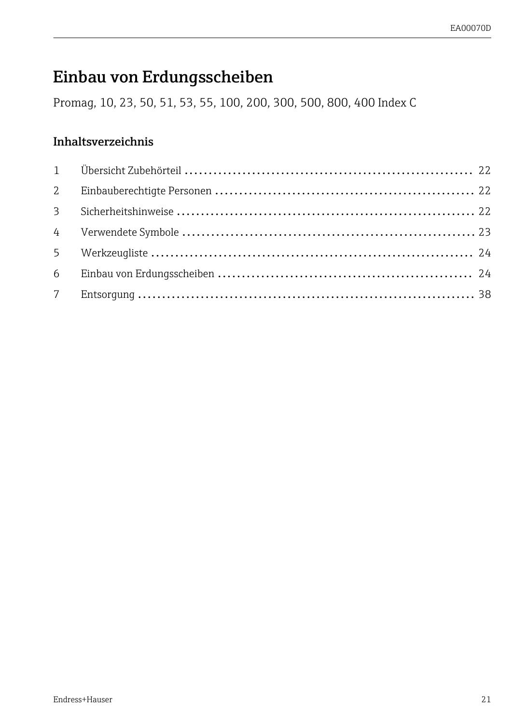## <span id="page-20-0"></span>Einbau von Erdungsscheiben

Promag, 10, 23, 50, 51, 53, 55, 100, 200, 300, 500, 800, 400 Index C

### Inhaltsverzeichnis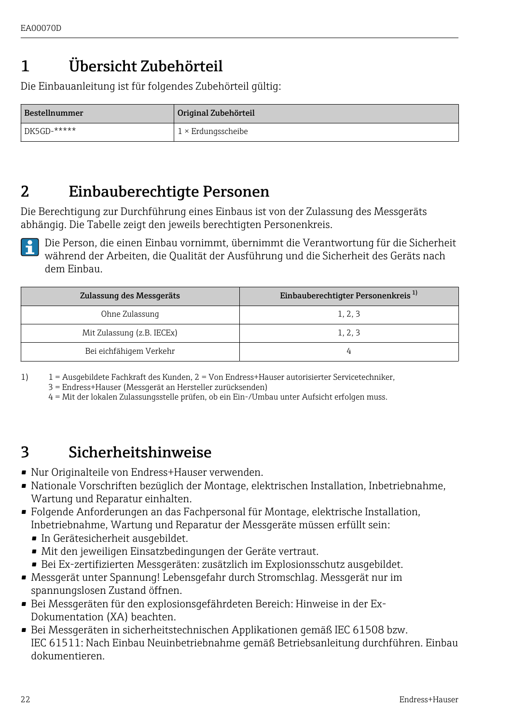## <span id="page-21-0"></span>1 Übersicht Zubehörteil

Die Einbauanleitung ist für folgendes Zubehörteil gültig:

| Bestellnummer  | Original Zubehörteil      |
|----------------|---------------------------|
| $DE5GD$ -***** | $1 \times$ Erdungsscheibe |

### 2 Einbauberechtigte Personen

Die Berechtigung zur Durchführung eines Einbaus ist von der Zulassung des Messgeräts abhängig. Die Tabelle zeigt den jeweils berechtigten Personenkreis.

Die Person, die einen Einbau vornimmt, übernimmt die Verantwortung für die Sicherheit während der Arbeiten, die Qualität der Ausführung und die Sicherheit des Geräts nach dem Einbau.

| Zulassung des Messgeräts   | Einbauberechtigter Personenkreis <sup>1)</sup> |
|----------------------------|------------------------------------------------|
| Ohne Zulassung             | 1, 2, 3                                        |
| Mit Zulassung (z.B. IECEx) | 1, 2, 3                                        |
| Bei eichfähigem Verkehr    |                                                |

1) 1 = Ausgebildete Fachkraft des Kunden, 2 = Von Endress+Hauser autorisierter Servicetechniker,

3 = Endress+Hauser (Messgerät an Hersteller zurücksenden)

4 = Mit der lokalen Zulassungsstelle prüfen, ob ein Ein-/Umbau unter Aufsicht erfolgen muss.

### 3 Sicherheitshinweise

- Nur Originalteile von Endress+Hauser verwenden.
- Nationale Vorschriften bezüglich der Montage, elektrischen Installation, Inbetriebnahme, Wartung und Reparatur einhalten.
- Folgende Anforderungen an das Fachpersonal für Montage, elektrische Installation, Inbetriebnahme, Wartung und Reparatur der Messgeräte müssen erfüllt sein:
	- In Gerätesicherheit ausgebildet.
	- Mit den jeweiligen Einsatzbedingungen der Geräte vertraut.
	- Bei Ex-zertifizierten Messgeräten: zusätzlich im Explosionsschutz ausgebildet.
- Messgerät unter Spannung! Lebensgefahr durch Stromschlag. Messgerät nur im spannungslosen Zustand öffnen.
- Bei Messgeräten für den explosionsgefährdeten Bereich: Hinweise in der Ex-Dokumentation (XA) beachten.
- Bei Messgeräten in sicherheitstechnischen Applikationen gemäß IEC 61508 bzw. IEC 61511: Nach Einbau Neuinbetriebnahme gemäß Betriebsanleitung durchführen. Einbau dokumentieren.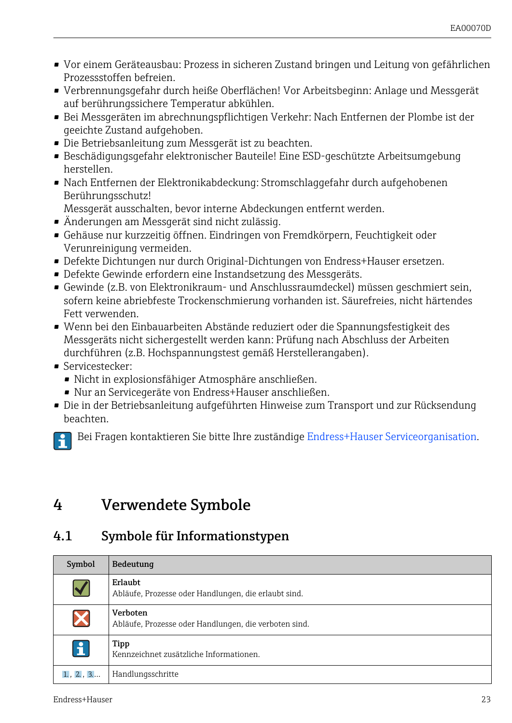- <span id="page-22-0"></span>• Vor einem Geräteausbau: Prozess in sicheren Zustand bringen und Leitung von gefährlichen Prozessstoffen befreien.
- Verbrennungsgefahr durch heiße Oberflächen! Vor Arbeitsbeginn: Anlage und Messgerät auf berührungssichere Temperatur abkühlen.
- Bei Messgeräten im abrechnungspflichtigen Verkehr: Nach Entfernen der Plombe ist der geeichte Zustand aufgehoben.
- Die Betriebsanleitung zum Messgerät ist zu beachten.
- Beschädigungsgefahr elektronischer Bauteile! Eine ESD-geschützte Arbeitsumgebung herstellen.
- Nach Entfernen der Elektronikabdeckung: Stromschlaggefahr durch aufgehobenen Berührungsschutz!

Messgerät ausschalten, bevor interne Abdeckungen entfernt werden.

- Änderungen am Messgerät sind nicht zulässig.
- Gehäuse nur kurzzeitig öffnen. Eindringen von Fremdkörpern, Feuchtigkeit oder Verunreinigung vermeiden.
- Defekte Dichtungen nur durch Original-Dichtungen von Endress+Hauser ersetzen.
- Defekte Gewinde erfordern eine Instandsetzung des Messgeräts.
- Gewinde (z.B. von Elektronikraum- und Anschlussraumdeckel) müssen geschmiert sein, sofern keine abriebfeste Trockenschmierung vorhanden ist. Säurefreies, nicht härtendes Fett verwenden.
- Wenn bei den Einbauarbeiten Abstände reduziert oder die Spannungsfestigkeit des Messgeräts nicht sichergestellt werden kann: Prüfung nach Abschluss der Arbeiten durchführen (z.B. Hochspannungstest gemäß Herstellerangaben).
- Servicestecker:
	- Nicht in explosionsfähiger Atmosphäre anschließen.
	- Nur an Servicegeräte von Endress+Hauser anschließen.
- Die in der Betriebsanleitung aufgeführten Hinweise zum Transport und zur Rücksendung beachten.

Bei Fragen kontaktieren Sie bitte Ihre zuständige [Endress+Hauser Serviceorganisation.](http://addresses.endress.com)

### 4 Verwendete Symbole

### 4.1 Symbole für Informationstypen

| Symbol          | Bedeutung                                                         |
|-----------------|-------------------------------------------------------------------|
| $\blacklozenge$ | Erlaubt<br>Abläufe, Prozesse oder Handlungen, die erlaubt sind.   |
| X               | Verboten<br>Abläufe, Prozesse oder Handlungen, die verboten sind. |
| $\mathbf{1}$    | Tipp<br>Kennzeichnet zusätzliche Informationen.                   |
| 1, 2, 3         | Handlungsschritte                                                 |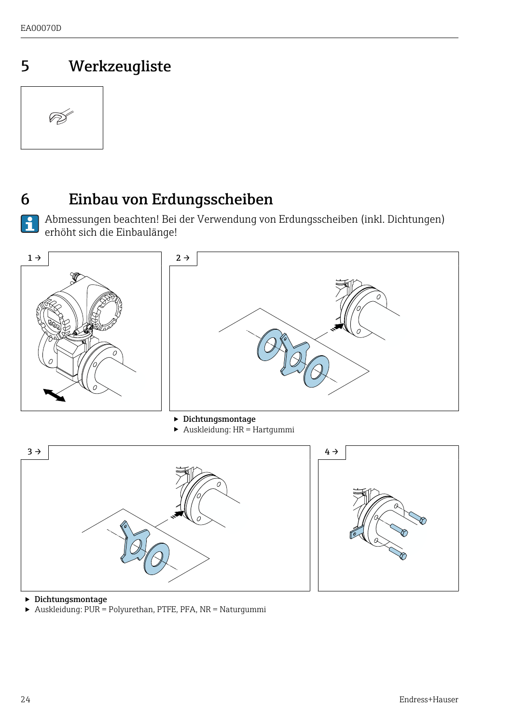## <span id="page-23-0"></span>5 Werkzeugliste



 $\overline{\mathbf{r}}$ 

### 6 Einbau von Erdungsscheiben

Abmessungen beachten! Bei der Verwendung von Erdungsscheiben (inkl. Dichtungen) erhöht sich die Einbaulänge!



<sup>‣</sup> Dichtungsmontage

‣ Auskleidung: PUR = Polyurethan, PTFE, PFA, NR = Naturgummi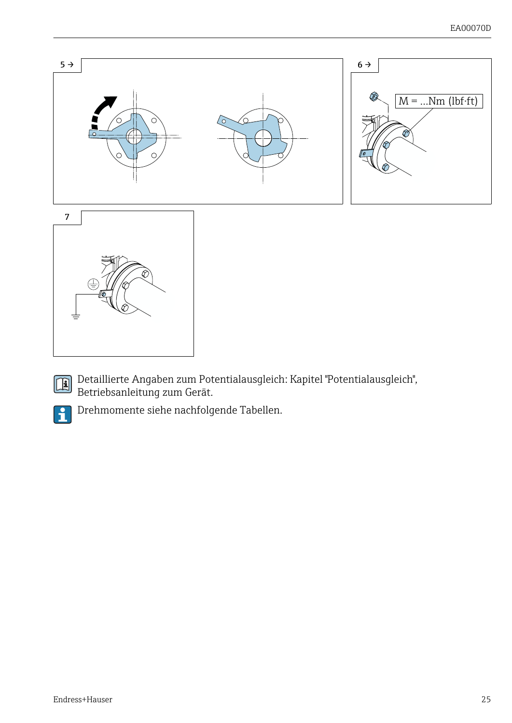

Detaillierte Angaben zum Potentialausgleich: Kapitel "Potentialausgleich", Betriebsanleitung zum Gerät.



Drehmomente siehe nachfolgende Tabellen.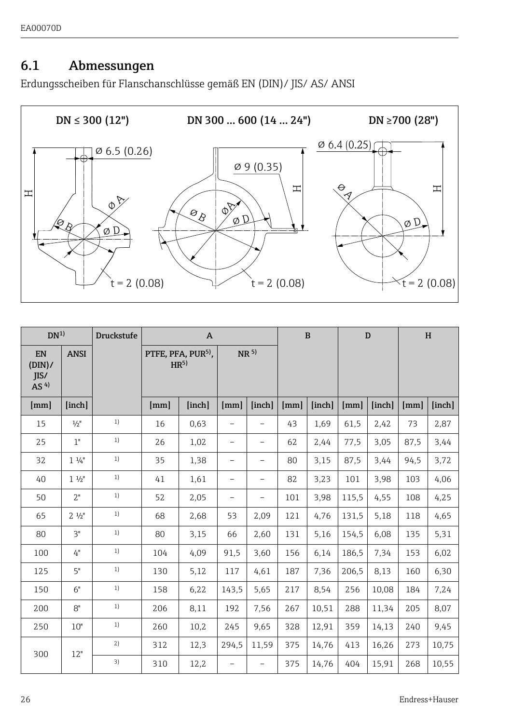#### 6.1 Abmessungen

Erdungsscheiben für Flanschanschlüsse gemäß EN (DIN)/ JIS/ AS/ ANSI



| DN <sup>1</sup>                 |                    | <b>Druckstufe</b> |      | A                                                 |                          |                          |      | $\mathbf{B}$ |       | D      |      | H      |
|---------------------------------|--------------------|-------------------|------|---------------------------------------------------|--------------------------|--------------------------|------|--------------|-------|--------|------|--------|
| EN<br>(DIN)/<br>IIS/<br>AS $4)$ | <b>ANSI</b>        |                   |      | PTFE, PFA, PUR <sup>5)</sup> ,<br>HR <sup>5</sup> |                          | NR <sup>5</sup>          |      |              |       |        |      |        |
| [mm]                            | [inch]             |                   | [mm] | [inch]                                            | [mm]                     | [inch]                   | [mm] | [inch]       | [mm]  | [inch] | [mm] | [inch] |
| 15                              | $1/2$ <sup>"</sup> | 1)                | 16   | 0.63                                              |                          |                          | 43   | 1.69         | 61.5  | 2.42   | 73   | 2,87   |
| 25                              | 1"                 | 1)                | 26   | 1.02                                              | -                        | $\overline{\phantom{0}}$ | 62   | 2.44         | 77.5  | 3.05   | 87.5 | 3.44   |
| 32                              | $1\frac{1}{4}$     | 1)                | 35   | 1,38                                              | -                        | $\overline{\phantom{0}}$ | 80   | 3.15         | 87.5  | 3.44   | 94.5 | 3.72   |
| 40                              | $1\frac{1}{2}$     | 1)                | 41   | 1.61                                              | $\overline{\phantom{0}}$ | $\overline{\phantom{0}}$ | 82   | 3.23         | 101   | 3,98   | 103  | 4.06   |
| 50                              | 2"                 | 1)                | 52   | 2.05                                              | -                        | $\overline{\phantom{0}}$ | 101  | 3,98         | 115.5 | 4,55   | 108  | 4,25   |
| 65                              | $2 \frac{1}{2}$    | 1)                | 68   | 2,68                                              | 53                       | 2.09                     | 121  | 4,76         | 131.5 | 5.18   | 118  | 4,65   |
| 80                              | 3"                 | 1)                | 80   | 3,15                                              | 66                       | 2,60                     | 131  | 5,16         | 154.5 | 6.08   | 135  | 5,31   |
| 100                             | 4"                 | 1)                | 104  | 4.09                                              | 91.5                     | 3.60                     | 156  | 6,14         | 186.5 | 7.34   | 153  | 6,02   |
| 125                             | 5"                 | 1)                | 130  | 5,12                                              | 117                      | 4,61                     | 187  | 7.36         | 206.5 | 8.13   | 160  | 6,30   |
| 150                             | 6"                 | 1)                | 158  | 6,22                                              | 143.5                    | 5.65                     | 217  | 8.54         | 256   | 10.08  | 184  | 7,24   |
| 200                             | 8"                 | 1)                | 206  | 8.11                                              | 192                      | 7.56                     | 267  | 10,51        | 288   | 11.34  | 205  | 8.07   |
| 250                             | 10"                | 1)                | 260  | 10.2                                              | 245                      | 9.65                     | 328  | 12,91        | 359   | 14.13  | 240  | 9,45   |
| 300                             | 12"                | 2)                | 312  | 12,3                                              | 294.5                    | 11.59                    | 375  | 14,76        | 413   | 16,26  | 273  | 10,75  |
|                                 |                    | 3)                | 310  | 12,2                                              | $\overline{\phantom{m}}$ | $\overline{\phantom{0}}$ | 375  | 14,76        | 404   | 15.91  | 268  | 10,55  |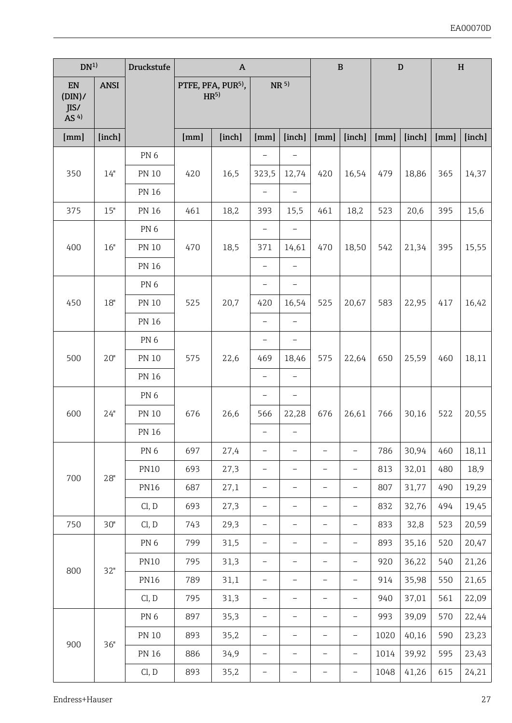| DN <sup>1</sup>                 |             | Druckstufe      |      | $\boldsymbol{\mathsf{A}}$                         |                          | $\, {\bf B}$             |                          |                          | $\mathbf D$ |        | $\, {\bf H}$ |        |
|---------------------------------|-------------|-----------------|------|---------------------------------------------------|--------------------------|--------------------------|--------------------------|--------------------------|-------------|--------|--------------|--------|
| EN<br>(DIN)/<br>JIS/<br>AS $4)$ | <b>ANSI</b> |                 |      | PTFE, PFA, PUR <sup>5)</sup> ,<br>HR <sup>5</sup> |                          | NR <sup>5</sup>          |                          |                          |             |        |              |        |
| [mm]                            | [inch]      |                 | [mm] | [inch]                                            | [mm]                     | [inch]                   | [mm]                     | [inch]                   | [mm]        | [inch] | [mm]         | [inch] |
|                                 |             | PN <sub>6</sub> |      |                                                   |                          |                          |                          |                          |             |        |              |        |
| 350                             | 14"         | PN 10           | 420  | 16,5                                              | 323,5                    | 12,74                    | 420                      | 16,54                    | 479         | 18,86  | 365          | 14,37  |
|                                 |             | PN 16           |      |                                                   | $\overline{a}$           | $\overline{a}$           |                          |                          |             |        |              |        |
| 375                             | 15"         | PN 16           | 461  | 18,2                                              | 393                      | 15,5                     | 461                      | 18,2                     | 523         | 20,6   | 395          | 15,6   |
|                                 |             | PN <sub>6</sub> |      |                                                   | $\qquad \qquad -$        | $\overline{\phantom{0}}$ |                          |                          |             |        |              |        |
| 400                             | 16"         | <b>PN 10</b>    | 470  | 18,5                                              | 371                      | 14,61                    | 470                      | 18,50                    | 542         | 21,34  | 395          | 15,55  |
|                                 |             | <b>PN 16</b>    |      |                                                   | ۳                        | L,                       |                          |                          |             |        |              |        |
|                                 |             | PN <sub>6</sub> |      |                                                   | $\bar{ }$                | $\overline{a}$           |                          |                          |             |        |              |        |
| 450                             | 18"         | PN 10           | 525  | 20,7                                              | 420                      | 16,54                    | 525                      | 20,67                    | 583         | 22,95  | 417          | 16,42  |
|                                 |             | PN 16           |      |                                                   | $\overline{a}$           | $\overline{a}$           |                          |                          |             |        |              |        |
|                                 |             | PN <sub>6</sub> |      |                                                   | $\overline{\phantom{0}}$ | $\overline{a}$           |                          |                          |             |        |              |        |
| 500                             | 20"         | PN 10           | 575  | 22,6                                              | 469                      | 18,46                    | 575                      | 22,64                    | 650         | 25,59  | 460          | 18,11  |
|                                 |             | PN 16           |      |                                                   | $\overline{a}$           | $\overline{\phantom{0}}$ |                          |                          |             |        |              |        |
|                                 |             | PN <sub>6</sub> |      |                                                   | $\qquad \qquad -$        | $\overline{\phantom{0}}$ |                          |                          |             |        |              |        |
| 600                             | 24"         | <b>PN 10</b>    | 676  | 26,6                                              | 566                      | 22,28                    | 676                      | 26,61                    | 766         | 30,16  | 522          | 20,55  |
|                                 |             | <b>PN 16</b>    |      |                                                   |                          |                          |                          |                          |             |        |              |        |
|                                 |             | PN <sub>6</sub> | 697  | 27,4                                              | -                        | -                        | $\overline{a}$           | $\overline{a}$           | 786         | 30,94  | 460          | 18,11  |
| 700                             | 28"         | <b>PN10</b>     | 693  | 27,3                                              | $\overline{\phantom{0}}$ | $\overline{\phantom{0}}$ | $\overline{\phantom{a}}$ | $\overline{\phantom{0}}$ | 813         | 32,01  | 480          | 18,9   |
|                                 |             | <b>PN16</b>     | 687  | 27,1                                              | $\bar{ }$                | $\overline{a}$           | $\overline{\phantom{a}}$ | L                        | 807         | 31,77  | 490          | 19,29  |
|                                 |             | Cl, D           | 693  | 27,3                                              | $\bar{ }$                | $\overline{a}$           | $\overline{a}$           | $\overline{a}$           | 832         | 32,76  | 494          | 19,45  |
| 750                             | 30"         | Cl, D           | 743  | 29,3                                              | $\overline{\phantom{0}}$ | $\overline{\phantom{0}}$ | $\overline{\phantom{0}}$ | $\overline{a}$           | 833         | 32,8   | 523          | 20,59  |
|                                 |             | PN <sub>6</sub> | 799  | 31,5                                              | $\overline{\phantom{0}}$ | $\overline{\phantom{0}}$ | L                        | $\overline{a}$           | 893         | 35,16  | 520          | 20,47  |
| 800                             | 32"         | <b>PN10</b>     | 795  | 31,3                                              | $\overline{\phantom{0}}$ | $\overline{\phantom{0}}$ | $\overline{\phantom{0}}$ | ÷                        | 920         | 36,22  | 540          | 21,26  |
|                                 |             | <b>PN16</b>     | 789  | 31,1                                              | $\bar{ }$                | $\overline{a}$           | $\overline{\phantom{m}}$ | L                        | 914         | 35,98  | 550          | 21,65  |
|                                 |             | Cl, D           | 795  | 31,3                                              | L,                       | $\overline{a}$           | $\overline{\phantom{a}}$ | $\overline{a}$           | 940         | 37,01  | 561          | 22,09  |
|                                 |             | PN <sub>6</sub> | 897  | 35,3                                              | $\overline{a}$           | $\overline{\phantom{0}}$ |                          | $\overline{a}$           | 993         | 39,09  | 570          | 22,44  |
| 900                             |             | <b>PN 10</b>    | 893  | 35,2                                              | $\bar{ }$                | $\overline{a}$           | $\bar{ }$                | $\overline{\phantom{0}}$ | 1020        | 40,16  | 590          | 23,23  |
|                                 | 36"         | <b>PN 16</b>    | 886  | 34,9                                              | $\overline{\phantom{0}}$ | ÷                        | ÷                        | $\overline{\phantom{0}}$ | 1014        | 39,92  | 595          | 23,43  |
|                                 |             | Cl, D           | 893  | 35,2                                              | $\overline{\phantom{a}}$ | $\overline{\phantom{a}}$ | $\overline{\phantom{a}}$ | $\overline{a}$           | 1048        | 41,26  | 615          | 24,21  |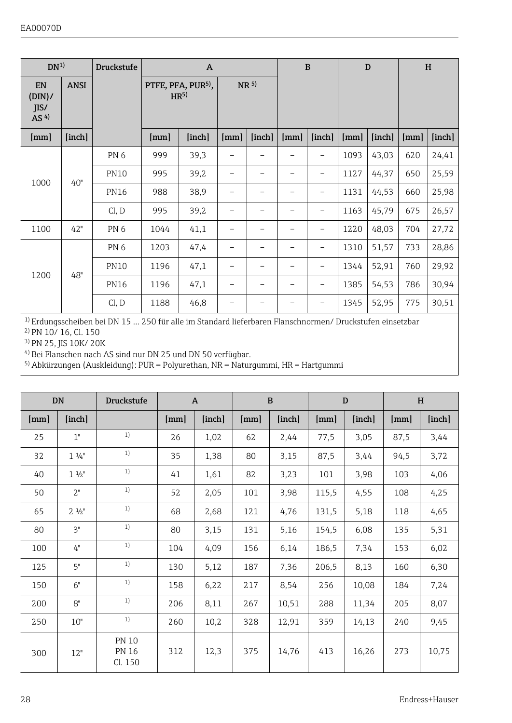| DN <sup>1</sup>                 |             | Druckstufe      |                                                   | $\mathbf{A}$ |                 |                          | B                        |                          | D    |        | H    |        |
|---------------------------------|-------------|-----------------|---------------------------------------------------|--------------|-----------------|--------------------------|--------------------------|--------------------------|------|--------|------|--------|
| EN<br>(DIN)/<br>IIS/<br>AS $4)$ | <b>ANSI</b> |                 | PTFE, PFA, PUR <sup>5)</sup> ,<br>HR <sup>5</sup> |              | NR <sup>5</sup> |                          |                          |                          |      |        |      |        |
| [mm]                            | [inch]      |                 | [mm]                                              | [inch]       | [mm]            | [inch]                   | [mm]                     | [inch]                   | [mm] | [inch] | [mm] | [inch] |
|                                 |             | PN <sub>6</sub> | 999                                               | 39,3         | -               | $\overline{\phantom{0}}$ | $\overline{\phantom{0}}$ | -                        | 1093 | 43,03  | 620  | 24,41  |
| 1000                            | 40"         | <b>PN10</b>     | 995                                               | 39,2         | -               | $\overline{\phantom{0}}$ | -                        | $\overline{a}$           | 1127 | 44.37  | 650  | 25,59  |
|                                 |             | <b>PN16</b>     | 988                                               | 38.9         | -               |                          | -                        | -                        | 1131 | 44.53  | 660  | 25,98  |
|                                 |             | Cl, D           | 995                                               | 39,2         | -               | $\overline{\phantom{0}}$ | -                        | -                        | 1163 | 45,79  | 675  | 26,57  |
| 1100                            | 42"         | PN <sub>6</sub> | 1044                                              | 41,1         | -               | -                        | -                        | $\overline{\phantom{a}}$ | 1220 | 48.03  | 704  | 27,72  |
|                                 |             | PN <sub>6</sub> | 1203                                              | 47.4         | -               |                          | -                        | -                        | 1310 | 51,57  | 733  | 28,86  |
| 1200                            | 48"         | <b>PN10</b>     | 1196                                              | 47,1         | -               | -                        | -                        | -                        | 1344 | 52,91  | 760  | 29,92  |
|                                 |             | <b>PN16</b>     | 1196                                              | 47,1         | -               | $\overline{\phantom{0}}$ | $\overline{\phantom{0}}$ | $\overline{\phantom{a}}$ | 1385 | 54,53  | 786  | 30,94  |
|                                 |             | Cl, D           | 1188                                              | 46.8         |                 |                          |                          | -                        | 1345 | 52,95  | 775  | 30,51  |

1) Erdungsscheiben bei DN 15 … 250 für alle im Standard lieferbaren Flanschnormen/ Druckstufen einsetzbar

<sup>2)</sup> PN 10/ 16, Cl. 150

<sup>3</sup>) PN 25, JIS 10K/ 20K

<sup>4)</sup> Bei Flanschen nach AS sind nur DN 25 und DN 50 verfügbar.

5) Abkürzungen (Auskleidung): PUR = Polyurethan, NR = Naturgummi, HR = Hartgummi

| <b>DN</b> |                 | <b>Druckstufe</b>                       |      | $\mathbf{A}$ |      | B      |       | D      | H    |        |  |
|-----------|-----------------|-----------------------------------------|------|--------------|------|--------|-------|--------|------|--------|--|
| [mm]      | [inch]          |                                         | [mm] | [inch]       | [mm] | [inch] | [mm]  | [inch] | [mm] | [inch] |  |
| 25        | 1"              | 1)                                      | 26   | 1,02         | 62   | 2.44   | 77,5  | 3,05   | 87.5 | 3,44   |  |
| 32        | $1\frac{1}{4}$  | 1)                                      | 35   | 1,38         | 80   | 3,15   | 87,5  | 3,44   | 94.5 | 3,72   |  |
| 40        | $1 \frac{1}{2}$ | 1)                                      | 41   | 1.61         | 82   | 3,23   | 101   | 3,98   | 103  | 4,06   |  |
| 50        | 2"              | 1)                                      | 52   | 2.05         | 101  | 3,98   | 115,5 | 4.55   | 108  | 4,25   |  |
| 65        | $2 \frac{1}{2}$ | 1)                                      | 68   | 2.68         | 121  | 4.76   | 131,5 | 5,18   | 118  | 4.65   |  |
| 80        | 3"              | 1)                                      | 80   | 3.15         | 131  | 5,16   | 154,5 | 6,08   | 135  | 5,31   |  |
| 100       | 4"              | 1)                                      | 104  | 4.09         | 156  | 6,14   | 186.5 | 7,34   | 153  | 6,02   |  |
| 125       | 5"              | 1)                                      | 130  | 5,12         | 187  | 7.36   | 206.5 | 8,13   | 160  | 6,30   |  |
| 150       | 6"              | 1)                                      | 158  | 6,22         | 217  | 8,54   | 256   | 10.08  | 184  | 7,24   |  |
| 200       | 8"              | 1)                                      | 206  | 8,11         | 267  | 10.51  | 288   | 11,34  | 205  | 8,07   |  |
| 250       | 10"             | 1)                                      | 260  | 10.2         | 328  | 12,91  | 359   | 14.13  | 240  | 9,45   |  |
| 300       | 12"             | <b>PN 10</b><br><b>PN 16</b><br>Cl. 150 | 312  | 12,3         | 375  | 14,76  | 413   | 16,26  | 273  | 10,75  |  |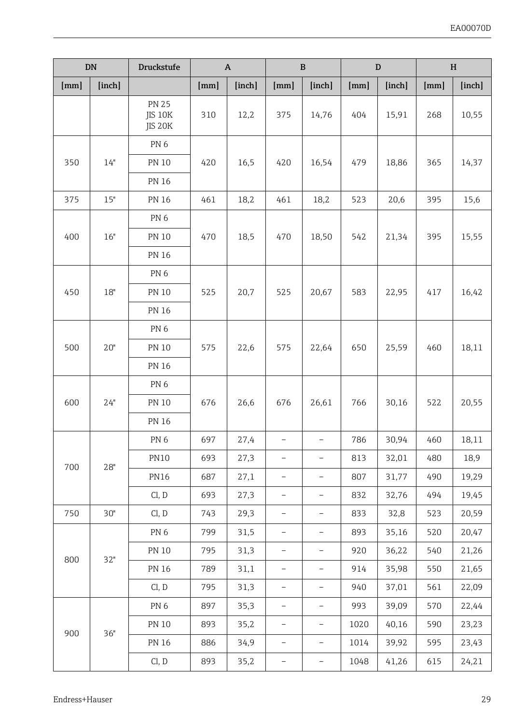|      | DN     | Druckstufe                         |      | $\boldsymbol{\mathsf{A}}$ |                          | B                        |      | $\mathbf D$ | H    |        |  |
|------|--------|------------------------------------|------|---------------------------|--------------------------|--------------------------|------|-------------|------|--------|--|
| [mm] | [inch] |                                    | [mm] | [inch]                    |                          | [inch]                   | [mm] | [inch]      | [mm] | [inch] |  |
|      |        | <b>PN 25</b><br>JIS 10K<br>JIS 20K | 310  | 12,2                      | 375                      | 14,76                    | 404  | 15,91       | 268  | 10,55  |  |
|      |        | PN <sub>6</sub>                    |      |                           |                          |                          |      |             |      |        |  |
| 350  | 14"    | <b>PN 10</b>                       | 420  | 16,5                      | 420                      | 16,54                    | 479  | 18,86       | 365  | 14,37  |  |
|      |        | PN 16                              |      |                           |                          |                          |      |             |      |        |  |
| 375  | 15"    | <b>PN 16</b>                       | 461  | 18,2                      | 461                      | 18,2                     | 523  | 20,6        | 395  | 15,6   |  |
|      |        | PN <sub>6</sub>                    |      |                           |                          |                          |      |             |      |        |  |
| 400  | 16"    | PN 10                              | 470  | 18,5                      | 470                      | 18,50                    | 542  | 21,34       | 395  | 15,55  |  |
|      |        | PN 16                              |      |                           |                          |                          |      |             |      |        |  |
|      |        | PN <sub>6</sub>                    |      |                           |                          |                          |      |             |      |        |  |
| 450  | 18"    | <b>PN 10</b>                       | 525  | 20,7                      | 525                      | 20,67                    | 583  | 22,95       | 417  | 16,42  |  |
|      |        | <b>PN 16</b>                       |      |                           |                          |                          |      |             |      |        |  |
|      |        | PN <sub>6</sub>                    |      |                           |                          |                          |      |             |      |        |  |
| 500  | 20"    | <b>PN 10</b>                       | 575  | 22,6                      | 575                      | 22,64                    | 650  | 25,59       | 460  | 18,11  |  |
|      |        | <b>PN 16</b>                       |      |                           |                          |                          |      |             |      |        |  |
|      |        | PN <sub>6</sub>                    |      |                           |                          |                          |      |             |      |        |  |
| 600  | 24"    | PN 10                              | 676  | 26,6                      | 676                      | 26,61                    | 766  | 30,16       | 522  | 20,55  |  |
|      |        | <b>PN 16</b>                       |      |                           |                          |                          |      |             |      |        |  |
|      |        | PN <sub>6</sub>                    | 697  | 27,4                      | $\overline{\phantom{0}}$ | $\overline{\phantom{0}}$ | 786  | 30,94       | 460  | 18,11  |  |
| 700  | 28"    | <b>PN10</b>                        | 693  | 27,3                      | $\overline{a}$           | $\overline{a}$           | 813  | 32,01       | 480  | 18,9   |  |
|      |        | <b>PN16</b>                        | 687  | 27,1                      |                          |                          | 807  | 31,77       | 490  | 19,29  |  |
|      |        | Cl, D                              | 693  | 27,3                      | $\overline{\phantom{0}}$ | $\overline{\phantom{0}}$ | 832  | 32,76       | 494  | 19,45  |  |
| 750  | 30"    | Cl, D                              | 743  | 29,3                      | $\bar{ }$                | $\bar{ }$                | 833  | 32,8        | 523  | 20,59  |  |
|      |        | PN <sub>6</sub>                    | 799  | 31,5                      | $\overline{\phantom{0}}$ | $\bar{ }$                | 893  | 35,16       | 520  | 20,47  |  |
| 800  | 32"    | <b>PN 10</b>                       | 795  | 31,3                      | L                        |                          | 920  | 36,22       | 540  | 21,26  |  |
|      |        | <b>PN 16</b>                       | 789  | 31,1                      | $\overline{\phantom{0}}$ | $\overline{\phantom{a}}$ | 914  | 35,98       | 550  | 21,65  |  |
|      |        | Cl, D                              | 795  | 31,3                      | $\bar{ }$                | $\overline{\phantom{0}}$ | 940  | 37,01       | 561  | 22,09  |  |
|      |        | PN <sub>6</sub>                    | 897  | 35,3                      | $\overline{\phantom{0}}$ | $\overline{\phantom{a}}$ | 993  | 39,09       | 570  | 22,44  |  |
|      | 36"    | <b>PN 10</b>                       | 893  | 35,2                      |                          |                          | 1020 | 40,16       | 590  | 23,23  |  |
| 900  |        | PN 16                              | 886  | 34,9                      | $\overline{a}$           | $\qquad \qquad -$        | 1014 | 39,92       | 595  | 23,43  |  |
|      |        | Cl, D                              | 893  | 35,2                      | $\overline{\phantom{0}}$ | $\overline{\phantom{a}}$ | 1048 | 41,26       | 615  | 24,21  |  |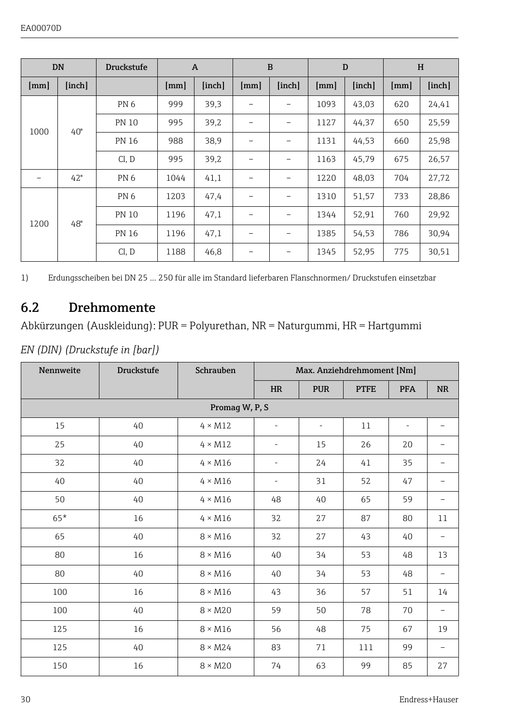<span id="page-29-0"></span>

| <b>DN</b>                |        | <b>Druckstufe</b> | $\overline{A}$ |        | B    |        | D    |        | H    |        |
|--------------------------|--------|-------------------|----------------|--------|------|--------|------|--------|------|--------|
| [mm]                     | [inch] |                   | [mm]           | [inch] | [mm] | [inch] | [mm] | [inch] | [mm] | [inch] |
|                          |        | PN <sub>6</sub>   | 999            | 39.3   |      |        | 1093 | 43,03  | 620  | 24,41  |
| 1000                     | 40"    | <b>PN 10</b>      | 995            | 39,2   | -    | -      | 1127 | 44,37  | 650  | 25,59  |
|                          |        | <b>PN 16</b>      | 988            | 38.9   | -    | -      | 1131 | 44,53  | 660  | 25,98  |
|                          |        | Cl, D             | 995            | 39,2   | -    |        | 1163 | 45,79  | 675  | 26,57  |
| $\overline{\phantom{a}}$ | 42"    | PN <sub>6</sub>   | 1044           | 41.1   | -    | -      | 1220 | 48,03  | 704  | 27,72  |
|                          |        | PN <sub>6</sub>   | 1203           | 47.4   | -    | -      | 1310 | 51,57  | 733  | 28,86  |
| 1200                     | 48"    | <b>PN 10</b>      | 1196           | 47.1   | -    | ۰      | 1344 | 52,91  | 760  | 29,92  |
|                          |        | <b>PN 16</b>      | 1196           | 47.1   | -    | -      | 1385 | 54,53  | 786  | 30.94  |
|                          |        | Cl, D             | 1188           | 46.8   |      |        | 1345 | 52,95  | 775  | 30,51  |

1) Erdungsscheiben bei DN 25 … 250 für alle im Standard lieferbaren Flanschnormen/ Druckstufen einsetzbar

### 6.2 Drehmomente

Abkürzungen (Auskleidung): PUR = Polyurethan, NR = Naturgummi, HR = Hartgummi

*EN (DIN) (Druckstufe in [bar])*

| Nennweite | <b>Druckstufe</b> | Schrauben      | Max. Anziehdrehmoment [Nm] |                          |             |                          |                          |  |
|-----------|-------------------|----------------|----------------------------|--------------------------|-------------|--------------------------|--------------------------|--|
|           |                   |                | <b>HR</b>                  | <b>PUR</b>               | <b>PTFE</b> | <b>PFA</b>               | <b>NR</b>                |  |
|           |                   | Promag W, P, S |                            |                          |             |                          |                          |  |
| 15        | 40                | $4 \times M12$ |                            | $\overline{\phantom{0}}$ | 11          | $\overline{\phantom{a}}$ |                          |  |
| 25        | 40                | $4 \times M12$ | $\overline{\phantom{m}}$   | 15                       | 26          | 20                       |                          |  |
| 32        | 40                | $4 \times M16$ | ۰                          | 24                       | 41          | 35                       |                          |  |
| 40        | 40                | $4 \times M16$ | $\overline{a}$             | 31                       | 52          | 47                       | -                        |  |
| 50        | 40                | $4 \times M16$ | 48                         | 40                       | 65          | 59                       |                          |  |
| $65*$     | 16                | $4 \times M16$ | 32                         | 27                       | 87          | 80                       | 11                       |  |
| 65        | 40                | $8 \times M16$ | 32                         | 27                       | 43          | 40                       | $\overline{\phantom{0}}$ |  |
| 80        | 16                | $8 \times M16$ | 40                         | 34                       | 53          | 48                       | 13                       |  |
| 80        | 40                | $8 \times M16$ | 40                         | 34                       | 53          | 48                       | $\overline{\phantom{0}}$ |  |
| 100       | 16                | $8 \times M16$ | 43                         | 36                       | 57          | 51                       | 14                       |  |
| 100       | 40                | $8 \times M20$ | 59                         | 50                       | 78          | 70                       | $\overline{\phantom{0}}$ |  |
| 125       | 16                | $8 \times M16$ | 56                         | 48                       | 75          | 67                       | 19                       |  |
| 125       | 40                | $8 \times M24$ | 83                         | 71                       | 111         | 99                       |                          |  |
| 150       | 16                | $8 \times M20$ | 74                         | 63                       | 99          | 85                       | 27                       |  |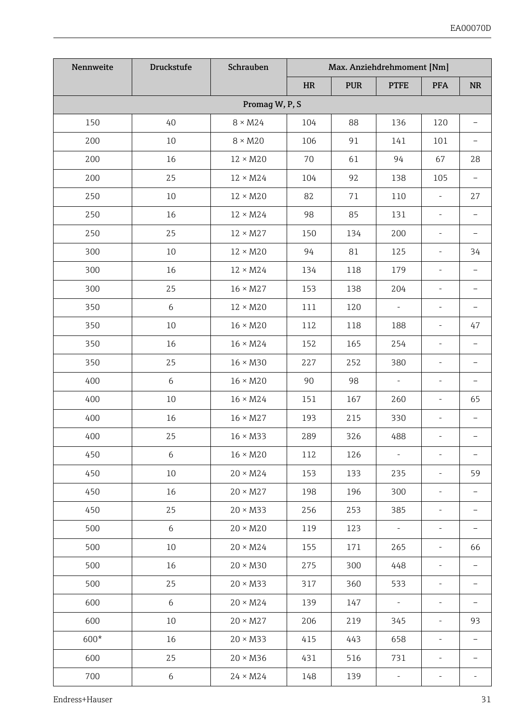| Nennweite | Druckstufe | Schrauben       | Max. Anziehdrehmoment [Nm] |            |                          |                          |                          |
|-----------|------------|-----------------|----------------------------|------------|--------------------------|--------------------------|--------------------------|
|           |            |                 | <b>HR</b>                  | <b>PUR</b> | <b>PTFE</b>              | <b>PFA</b>               | <b>NR</b>                |
|           |            | Promag W, P, S  |                            |            |                          |                          |                          |
| 150       | 40         | $8 \times M24$  | 104                        | 88         | 136                      | 120                      | $\overline{\phantom{0}}$ |
| 200       | 10         | $8 \times M20$  | 106                        | 91         | 141                      | 101                      | $\overline{\phantom{0}}$ |
| 200       | 16         | $12 \times M20$ | 70                         | 61         | 94                       | 67                       | 28                       |
| 200       | 25         | $12 \times M24$ | 104                        | 92         | 138                      | 105                      | $\overline{\phantom{a}}$ |
| 250       | 10         | $12 \times M20$ | 82                         | 71         | 110                      | $\overline{\phantom{a}}$ | 27                       |
| 250       | 16         | $12 \times M24$ | 98                         | 85         | 131                      | $\overline{\phantom{a}}$ | $\overline{\phantom{a}}$ |
| 250       | 25         | $12 \times M27$ | 150                        | 134        | 200                      |                          |                          |
| 300       | 10         | $12 \times M20$ | 94                         | 81         | 125                      | ÷,                       | 34                       |
| 300       | 16         | $12 \times M24$ | 134                        | 118        | 179                      | $\overline{\phantom{a}}$ | $\overline{\phantom{0}}$ |
| 300       | 25         | $16 \times M27$ | 153                        | 138        | 204                      | $\bar{a}$                | $\overline{\phantom{0}}$ |
| 350       | 6          | $12 \times M20$ | 111                        | 120        | $\mathcal{L}$            | $\mathbf{r}$             | $\overline{\phantom{a}}$ |
| 350       | 10         | $16 \times M20$ | 112                        | 118        | 188                      | $\overline{\phantom{a}}$ | 47                       |
| 350       | 16         | $16 \times M24$ | 152                        | 165        | 254                      | $\overline{\phantom{a}}$ | ÷                        |
| 350       | 25         | $16 \times M30$ | 227                        | 252        | 380                      | $\overline{\phantom{a}}$ | $\overline{\phantom{0}}$ |
| 400       | 6          | $16 \times M20$ | 90                         | 98         | $\bar{\phantom{a}}$      | $\blacksquare$           | $\overline{\phantom{0}}$ |
| 400       | 10         | $16 \times M24$ | 151                        | 167        | 260                      | $\overline{\phantom{a}}$ | 65                       |
| 400       | 16         | $16 \times M27$ | 193                        | 215        | 330                      |                          |                          |
| 400       | 25         | $16 \times M33$ | 289                        | 326        | 488                      | ÷                        |                          |
| 450       | 6          | $16 \times M20$ | 112                        | 126        | $\overline{\phantom{a}}$ | $\bar{a}$                | $\sim$                   |
| 450       | 10         | $20 \times M24$ | 153                        | 133        | 235                      | $\overline{\phantom{a}}$ | 59                       |
| 450       | 16         | $20 \times M27$ | 198                        | 196        | 300                      | $\overline{\phantom{a}}$ | $\bar{ }$                |
| 450       | 25         | $20 \times M33$ | 256                        | 253        | 385                      |                          |                          |
| 500       | 6          | $20 \times M20$ | 119                        | 123        | $\overline{\phantom{a}}$ | $\overline{\phantom{a}}$ | $\overline{\phantom{0}}$ |
| 500       | 10         | $20 \times M24$ | 155                        | 171        | 265                      | $\overline{\phantom{a}}$ | 66                       |
| 500       | 16         | $20 \times M30$ | 275                        | 300        | 448                      | $\sim$                   | $\equiv$                 |
| 500       | 25         | $20 \times M33$ | 317                        | 360        | 533                      | $\blacksquare$           | $\overline{\phantom{a}}$ |
| 600       | 6          | $20 \times M24$ | 139                        | 147        | $\overline{\phantom{a}}$ |                          |                          |
| 600       | 10         | $20 \times M27$ | 206                        | 219        | 345                      | $\frac{1}{2}$            | 93                       |
| 600*      | 16         | $20 \times M33$ | 415                        | 443        | 658                      | $\overline{\phantom{a}}$ | $\overline{\phantom{a}}$ |
| 600       | 25         | $20 \times M36$ | 431                        | 516        | 731                      | $\overline{\phantom{a}}$ | ÷.                       |
| 700       | 6          | $24 \times M24$ | 148                        | 139        | $\overline{\phantom{a}}$ | $\overline{\phantom{a}}$ | ä,                       |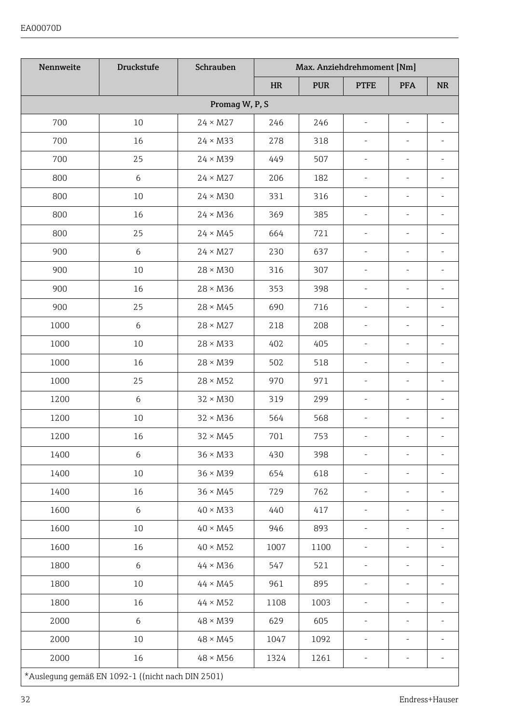| Nennweite | Druckstufe                                        | Schrauben       |            | Max. Anziehdrehmoment [Nm] |                          |                          |                |
|-----------|---------------------------------------------------|-----------------|------------|----------------------------|--------------------------|--------------------------|----------------|
|           |                                                   |                 | <b>HR</b>  | <b>PUR</b>                 | <b>PTFE</b>              | <b>PFA</b>               | <b>NR</b>      |
|           |                                                   | Promag W, P, S  |            |                            |                          |                          |                |
| 700       | 10                                                | $24 \times M27$ | 246        | 246                        | ×,                       |                          |                |
| 700       | 16                                                | $24 \times M33$ | 278        | 318                        | $\overline{\phantom{a}}$ | L,                       |                |
| 700       | 25                                                | $24 \times M39$ | 449        | 507                        | $\overline{\phantom{a}}$ | ä,                       | ×,             |
| 800       | 6                                                 | $24 \times M27$ | 206        | 182                        | $\overline{\phantom{a}}$ | ä,                       | ä,             |
| 800       | 10                                                | $24 \times M30$ | 331        | 316                        |                          |                          |                |
| 800       | 16                                                | $24 \times M36$ | 369        | 385                        |                          |                          |                |
| 800       | 25                                                | $24 \times M45$ | 664        | 721                        | $\overline{\phantom{a}}$ | $\overline{\phantom{a}}$ | ä,             |
| 900       | 6                                                 | $24 \times M27$ | 230        | 637                        | $\overline{\phantom{a}}$ | $\overline{\phantom{a}}$ | ×,             |
| 900       | 10                                                | $28 \times M30$ | 316        | 307                        | ×.                       | ä,                       | ÷.             |
| 900       | 16                                                | $28 \times M36$ | 353        | 398                        | ä,                       | ä,                       |                |
| 900       | 25                                                | $28 \times M45$ | 690        | 716                        |                          |                          |                |
| 1000      | 6                                                 | $28 \times M27$ | 218        | 208                        | ä,                       |                          |                |
| 1000      | 10                                                | $28 \times M33$ | 402        | 405                        | $\overline{\phantom{a}}$ | L.                       | ×.             |
| 1000      | 16                                                | $28 \times M39$ | 502        | 518                        | $\overline{\phantom{a}}$ | ä,                       | ä,             |
| 1000      | 25                                                | $28 \times M52$ | 970        | 971                        | $\bar{a}$                | L,                       | ÷,             |
| 1200      | 6                                                 | $32 \times M30$ | 319        | 299                        |                          |                          |                |
| 1200      | 10                                                | $32 \times M36$ | 564        | 568                        |                          |                          |                |
| 1200      | 16                                                | $32 \times M45$ | 701        | 753                        | $\overline{\phantom{a}}$ | $\overline{\phantom{a}}$ | ÷,             |
| 1400      | 6                                                 | $36 \times M33$ | 430        | 398                        | ä,                       | ä,                       |                |
| 1400      | 10                                                | $36 \times M39$ | 654        | 618                        | $\overline{\phantom{a}}$ | ÷,                       | ä,             |
| 1400      | 16                                                | $36 \times M45$ | 729        | 762                        | ÷.                       |                          |                |
| 1600      | 6                                                 | $40 \times M33$ | 440        | 417                        | ä,                       | L.                       |                |
| 1600      | 10                                                | $40 \times M45$ | 946        | 893                        | $\overline{\phantom{a}}$ | L.                       | ä,             |
| 1600      | 16                                                | $40 \times M52$ | 1007       | 1100                       | $\overline{\phantom{a}}$ | $\frac{1}{2}$            | $\frac{1}{2}$  |
| 1800      | 6                                                 | $44 \times M36$ | 547        | 521                        | $\bar{a}$                | L.                       | ÷.             |
| 1800      | 10                                                | $44 \times M45$ | 961        | 895                        | $\overline{\phantom{a}}$ | $\overline{\phantom{a}}$ | ä,             |
| 1800      | 16                                                | $44 \times M52$ | 1108       | 1003                       |                          |                          |                |
| 2000      | 6                                                 | $48 \times M39$ | 629<br>605 |                            |                          |                          |                |
| 2000      | 10                                                | $48 \times M45$ | 1047       | 1092                       | L.                       | L.                       | $\overline{a}$ |
| 2000      | 16                                                | $48 \times M56$ | 1324       | 1261                       | $\overline{\phantom{a}}$ | $\overline{\phantom{a}}$ |                |
|           | *Auslegung gemäß EN 1092-1 ((nicht nach DIN 2501) |                 |            |                            |                          |                          |                |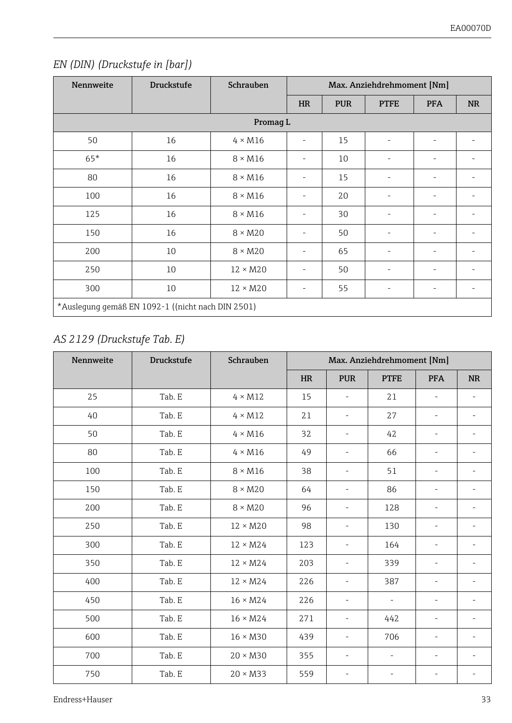#### *EN (DIN) (Druckstufe in [bar])*

| Nennweite | <b>Druckstufe</b>                                 | Schrauben       | Max. Anziehdrehmoment [Nm] |            |             |                          |           |  |
|-----------|---------------------------------------------------|-----------------|----------------------------|------------|-------------|--------------------------|-----------|--|
|           |                                                   |                 | <b>HR</b>                  | <b>PUR</b> | <b>PTFE</b> | <b>PFA</b>               | <b>NR</b> |  |
|           |                                                   | Promag L        |                            |            |             |                          |           |  |
| 50        | 16                                                | $4 \times M16$  |                            | 15         | ٠           | ٠                        |           |  |
| $65*$     | 16                                                | $8 \times M16$  | ٠                          | 10         | ٠           | $\overline{\phantom{a}}$ | ÷         |  |
| 80        | 16                                                | $8 \times M16$  | ٠                          | 15         | ٠           | ٠                        | ÷         |  |
| 100       | 16                                                | $8 \times M16$  | $\sim$                     | 20         | ٠           | $\sim$                   | ۰         |  |
| 125       | 16                                                | $8 \times M16$  | ٠                          | 30         |             | ٠                        | ٠         |  |
| 150       | 16                                                | $8 \times M20$  | ٠                          | 50         | ٠           | $\sim$                   | ۰         |  |
| 200       | 10                                                | $8 \times M20$  | ٠                          | 65         | ٠           | ٠                        | ۰         |  |
| 250       | 10                                                | $12 \times M20$ | $\sim$                     | 50         | ٠           | ٠                        | ٠         |  |
| 300       | 10                                                | $12 \times M20$ | ٠                          | 55         | ٠           | ٠                        | ۰         |  |
|           | *Auslegung gemäß EN 1092-1 ((nicht nach DIN 2501) |                 |                            |            |             |                          |           |  |

#### *AS 2129 (Druckstufe Tab. E)*

| Nennweite | <b>Druckstufe</b> | Schrauben       | Max. Anziehdrehmoment [Nm] |                              |                          |                          |                          |  |
|-----------|-------------------|-----------------|----------------------------|------------------------------|--------------------------|--------------------------|--------------------------|--|
|           |                   |                 | HR                         | <b>PUR</b>                   | <b>PTFE</b>              | <b>PFA</b>               | <b>NR</b>                |  |
| 25        | Tab. E            | $4 \times M12$  | 15                         | $\overline{\phantom{0}}$     | 21                       | $\overline{\phantom{a}}$ |                          |  |
| 40        | Tab. E            | $4 \times M12$  | 21                         | $\overline{\phantom{0}}$     | 27                       | $\overline{\phantom{a}}$ | ٠                        |  |
| 50        | Tab. E            | $4 \times M16$  | 32                         | $\overline{\phantom{0}}$     | 42                       | $\overline{\phantom{a}}$ | $\overline{a}$           |  |
| 80        | Tab. E            | $4 \times M16$  | 49                         | $\overline{\phantom{0}}$     | 66                       | $\overline{\phantom{a}}$ | $\overline{a}$           |  |
| 100       | Tab. E            | $8 \times M16$  | 38                         | $\overline{a}$               | 51                       | $\bar{a}$                |                          |  |
| 150       | Tab. E            | $8 \times M20$  |                            | $\overline{a}$               | 86                       | ٠                        |                          |  |
| 200       | Tab. E            | $8 \times M20$  | 96                         | $\overline{a}$               | 128                      | $\overline{\phantom{0}}$ |                          |  |
| 250       | Tab. E            | $12 \times M20$ | 98                         | $\overline{\phantom{0}}$     | 130                      | $\overline{\phantom{a}}$ |                          |  |
| 300       | Tab. E            | $12 \times M24$ | 123                        | $\overline{a}$               | 164                      | $\overline{\phantom{a}}$ | $\overline{a}$           |  |
| 350       | Tab. E            | $12 \times M24$ | 203                        | $\frac{1}{2}$                | 339                      | $\overline{\phantom{a}}$ | $\overline{\phantom{m}}$ |  |
| 400       | Tab. E            | $12 \times M24$ | 226                        | $\overline{\phantom{0}}$     | 387                      | $\overline{\phantom{a}}$ | ٠                        |  |
| 450       | Tab. E            | $16 \times M24$ | 226                        | $\overline{a}$               | $\overline{\phantom{a}}$ | $\overline{\phantom{a}}$ | ÷                        |  |
| 500       | Tab. E            | $16 \times M24$ | 271                        | $\qquad \qquad \blacksquare$ | 442                      | $\overline{\phantom{a}}$ |                          |  |
| 600       | Tab. E            | $16 \times M30$ | 439                        | $\overline{a}$               | 706                      | $\overline{\phantom{a}}$ |                          |  |
| 700       | Tab. E            | $20 \times M30$ | 355                        | $\overline{a}$               | $\overline{\phantom{a}}$ | ٠                        | ٠                        |  |
| 750       | Tab. E            | $20 \times M33$ | 559                        | ٠                            | $\overline{\phantom{0}}$ | $\overline{\phantom{a}}$ |                          |  |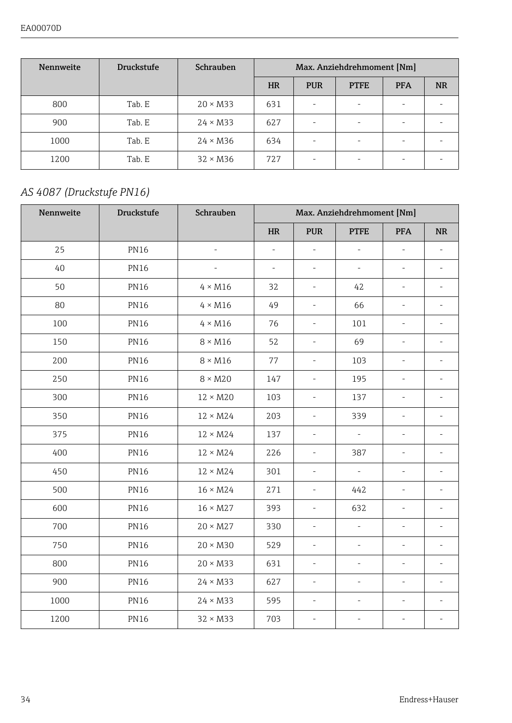| Nennweite | <b>Druckstufe</b> | Schrauben       | Max. Anziehdrehmoment [Nm] |            |             |            |           |  |  |
|-----------|-------------------|-----------------|----------------------------|------------|-------------|------------|-----------|--|--|
|           |                   |                 | <b>HR</b>                  | <b>PUR</b> | <b>PTFE</b> | <b>PFA</b> | <b>NR</b> |  |  |
| 800       | Tab. E            | $20 \times M33$ | 631                        |            |             | $\sim$     |           |  |  |
| 900       | Tab. E            | $24 \times M33$ | 627                        | ۰          |             | $\sim$     |           |  |  |
| 1000      | Tab. E            | $24 \times M36$ | 634                        |            |             | $\sim$     |           |  |  |
| 1200      | Tab. E            | $32 \times M36$ | 72.7                       | ۰          |             | $\sim$     |           |  |  |

#### *AS 4087 (Druckstufe PN16)*

| Nennweite | <b>Druckstufe</b> | Schrauben       | Max. Anziehdrehmoment [Nm] |                          |                               |                          |                                   |  |  |
|-----------|-------------------|-----------------|----------------------------|--------------------------|-------------------------------|--------------------------|-----------------------------------|--|--|
|           |                   |                 | HR                         | <b>PUR</b>               | <b>PTFE</b>                   | <b>PFA</b>               | $\ensuremath{\mathsf{NR}}\xspace$ |  |  |
| 25        | <b>PN16</b>       | ä,              | ä,                         | ä,                       | $\overline{\phantom{a}}$      | L.                       |                                   |  |  |
| 40        | <b>PN16</b>       | ä,              | $\overline{\phantom{a}}$   | $\overline{\phantom{a}}$ | $\overline{\phantom{a}}$      | $\overline{\phantom{0}}$ |                                   |  |  |
| 50        | <b>PN16</b>       | $4 \times M16$  | 32                         | $\overline{\phantom{a}}$ | 42                            | $\overline{\phantom{a}}$ | ÷,                                |  |  |
| 80        | <b>PN16</b>       | $4 \times M16$  | 49                         | $\overline{\phantom{a}}$ | 66                            | ÷                        | $\frac{1}{2}$                     |  |  |
| 100       | <b>PN16</b>       | $4 \times M16$  | 76                         | $\overline{\phantom{a}}$ | 101                           | ÷                        |                                   |  |  |
| 150       | <b>PN16</b>       | $8 \times M16$  | 52                         | $\overline{\phantom{a}}$ | 69                            | $\overline{\phantom{a}}$ |                                   |  |  |
| 200       | <b>PN16</b>       | $8 \times M16$  | 77                         | ÷                        | 103                           | ÷                        |                                   |  |  |
| 250       | <b>PN16</b>       | $8 \times M20$  | 147                        | $\overline{\phantom{a}}$ | 195                           | ÷,                       | ä,                                |  |  |
| 300       | <b>PN16</b>       | $12 \times M20$ | 103                        | $\bar{ }$                | 137                           | $\overline{\phantom{a}}$ |                                   |  |  |
| 350       | <b>PN16</b>       | $12 \times M24$ | 203                        | $\frac{1}{2}$            | 339                           | $\overline{\phantom{0}}$ |                                   |  |  |
| 375       | <b>PN16</b>       | $12 \times M24$ | 137                        | $\bar{ }$                | $\overline{\phantom{a}}$      | ÷,                       | $\overline{\phantom{0}}$          |  |  |
| 400       | <b>PN16</b>       | $12 \times M24$ | 226                        | $\overline{\phantom{a}}$ | 387                           | $\overline{\phantom{a}}$ | $\frac{1}{2}$                     |  |  |
| 450       | <b>PN16</b>       | $12 \times M24$ | 301                        | $\bar{ }$                | $\overline{\phantom{a}}$      | $\overline{\phantom{a}}$ |                                   |  |  |
| 500       | <b>PN16</b>       | $16 \times M24$ | 271                        | $\overline{\phantom{0}}$ | 442                           | $\overline{\phantom{a}}$ |                                   |  |  |
| 600       | <b>PN16</b>       | $16 \times M27$ | 393                        | ÷                        | 632                           | ÷,                       | $\frac{1}{2}$                     |  |  |
| 700       | <b>PN16</b>       | $20 \times M27$ | 330                        | $\overline{\phantom{a}}$ | ÷,                            | ÷,                       | ä,                                |  |  |
| 750       | <b>PN16</b>       | $20 \times M30$ | 529                        | ÷                        | $\overline{\phantom{a}}$      | ÷                        | $\overline{\phantom{0}}$          |  |  |
| 800       | <b>PN16</b>       | $20 \times M33$ | 631                        | $\overline{\phantom{a}}$ | $\overline{\phantom{a}}$      | $\frac{1}{2}$            |                                   |  |  |
| 900       | <b>PN16</b>       | $24 \times M33$ | 627                        | $\bar{ }$                | $\overline{\phantom{a}}$      | ÷,                       | $\overline{\phantom{a}}$          |  |  |
| 1000      | <b>PN16</b>       | $24 \times M33$ | 595                        | $\overline{\phantom{a}}$ | ÷<br>$\overline{\phantom{a}}$ |                          |                                   |  |  |
| 1200      | <b>PN16</b>       | $32 \times M33$ | 703                        | $\overline{\phantom{0}}$ | ÷                             | i.                       |                                   |  |  |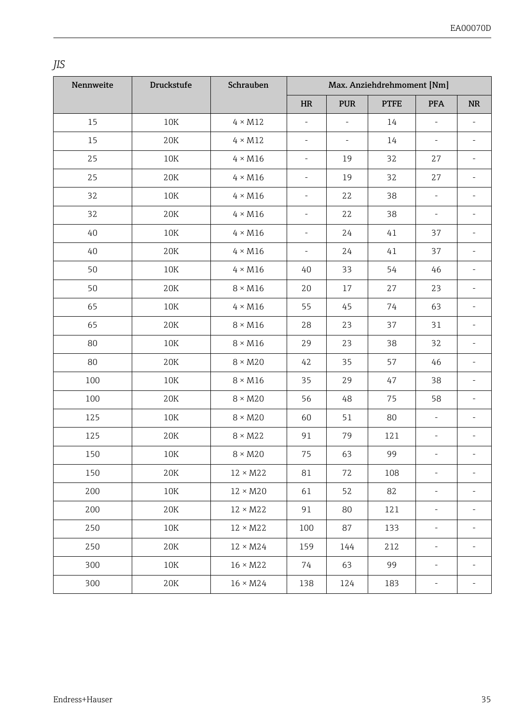*JIS*

| Nennweite | <b>Druckstufe</b> | Schrauben       |                          |                          | Max. Anziehdrehmoment [Nm] |                          |                          |
|-----------|-------------------|-----------------|--------------------------|--------------------------|----------------------------|--------------------------|--------------------------|
|           |                   |                 | HR                       | <b>PUR</b>               | <b>PTFE</b>                | <b>PFA</b>               | <b>NR</b>                |
| 15        | 10K               | $4 \times M12$  | $\overline{a}$           | $\frac{1}{2}$            | 14                         | L,                       | $\overline{\phantom{a}}$ |
| 15        | 20K               | $4 \times M12$  | $\overline{\phantom{a}}$ | $\overline{\phantom{a}}$ | 14                         | $\overline{\phantom{m}}$ | ä,                       |
| 25        | 10K               | $4 \times M16$  | $\overline{\phantom{a}}$ | 19                       | 32                         | 27                       | ä,                       |
| 25        | 20K               | $4 \times M16$  | $\overline{\phantom{a}}$ | 19                       | 32                         | 27                       | $\overline{\phantom{a}}$ |
| 32        | 10K               | $4 \times M16$  | $\overline{\phantom{a}}$ | 22                       | 38                         | $\overline{\phantom{a}}$ | ÷                        |
| 32        | 20K               | $4 \times M16$  | $\overline{\phantom{a}}$ | 22                       | 38                         | $\overline{\phantom{a}}$ | ä,                       |
| 40        | 10K               | $4 \times M16$  | $\overline{\phantom{a}}$ | 24                       | 41                         | 37                       | ÷                        |
| 40        | 20K               | $4 \times M16$  | $\overline{\phantom{a}}$ | 24                       | 41                         | 37                       | ÷                        |
| 50        | 10K               | $4 \times M16$  | 40                       | 33                       | 54                         | 46                       | $\overline{a}$           |
| 50        | 20K               | $8 \times M16$  | 20                       | 17                       | 27                         | 23                       | ÷,                       |
| 65        | $10\mathrm{K}$    | $4 \times M16$  | 55                       | 45                       | 74                         | 63                       | ÷                        |
| 65        | 20K               | $8 \times M16$  | 28                       | 23                       | 37                         | 31                       | $\overline{a}$           |
| 80        | 10K               | $8 \times M16$  | 29                       | 23                       | 38                         | 32                       | ÷                        |
| 80        | 20K               | $8 \times M20$  | 42                       | 35                       | 57                         | 46                       | ÷                        |
| 100       | 10K               | $8 \times M16$  | 35                       | 29                       | 47                         | 38                       |                          |
| 100       | 20K               | $8 \times M20$  | 56                       | 48                       | 75                         | 58                       | ÷,                       |
| 125       | 10K               | $8 \times M20$  | 60                       | 51                       | 80                         | $\overline{\phantom{a}}$ | ä,                       |
| 125       | 20K               | $8 \times M22$  | 91                       | 79                       | 121                        | ÷,                       | $\overline{\phantom{m}}$ |
| 150       | 10K               | $8 \times M20$  | 75                       | 63                       | 99                         | $\overline{\phantom{m}}$ | ä,                       |
| 150       | 20K               | $12 \times M22$ | 81                       | 72                       | 108                        | ÷                        | ä,                       |
| 200       | 10K               | $12 \times M20$ | 61                       | 52                       | 82                         | ÷,                       |                          |
| 200       | 20K               | $12 \times M22$ | 91                       | 80                       | 121                        | ÷,                       |                          |
| 250       | 10K               | $12 \times M22$ | 100                      | 87                       | 133                        | $\overline{\phantom{m}}$ |                          |
| 250       | 20K               | $12 \times M24$ | 159                      | 144                      | 212                        | ÷,                       |                          |
| 300       | 10K               | $16 \times M22$ | 74                       | 63                       | 99                         | ÷,                       |                          |
| 300       | 20K               | $16 \times M24$ | 138                      | 124                      | 183                        | ÷                        | ä,                       |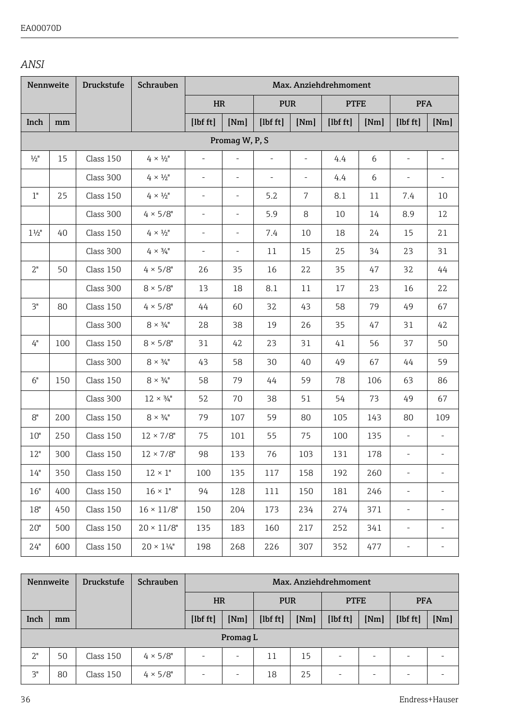#### *ANSI*

|                 | Nennweite | <b>Druckstufe</b> | Schrauben                 |                          |                          |            |                          | Max. Anziehdrehmoment |      |                          |                          |
|-----------------|-----------|-------------------|---------------------------|--------------------------|--------------------------|------------|--------------------------|-----------------------|------|--------------------------|--------------------------|
|                 |           |                   |                           | HR                       |                          | <b>PUR</b> |                          | <b>PTFE</b>           |      | <b>PFA</b>               |                          |
| Inch            | mm        |                   |                           | [1bf ft]                 | [Nm]                     | $[1b f t]$ | [Nm]                     | $[1b f t]$            | [Nm] | [1bf ft]                 | [Nm]                     |
|                 |           |                   |                           |                          | Promaq W, P, S           |            |                          |                       |      |                          |                          |
| $\frac{1}{2}$ " | 15        | Class 150         | $4 \times \frac{1}{2}$ "  | ä,                       | ä,                       | $\sim$     | $\overline{\phantom{a}}$ | 4.4                   | 6    | ä,                       |                          |
|                 |           | Class 300         | $4 \times \frac{1}{2}$ "  | ÷,                       | $\overline{\phantom{a}}$ | $\bar{a}$  | $\sim$                   | 4.4                   | 6    | $\overline{\phantom{a}}$ |                          |
| $1"$            | 25        | Class 150         | $4 \times 1/2$            | $\overline{\phantom{a}}$ | $\overline{\phantom{a}}$ | 5.2        | 7                        | 8.1                   | 11   | 7.4                      | 10                       |
|                 |           | Class 300         | $4 \times 5/8$ "          | $\overline{\phantom{a}}$ | $\overline{\phantom{a}}$ | 5.9        | 8                        | 10                    | 14   | 8.9                      | 12                       |
| $1\frac{1}{2}$  | 40        | Class 150         | $4 \times 1/2$ "          | $\overline{\phantom{a}}$ | $\overline{\phantom{a}}$ | 7.4        | 10                       | 18                    | 24   | 15                       | 21                       |
|                 |           | Class 300         | $4 \times 3/4$            | $\overline{\phantom{a}}$ | $\overline{\phantom{a}}$ | 11         | 15                       | 25                    | 34   | 23                       | 31                       |
| 2"              | 50        | Class 150         | $4 \times 5/8$ "          | 26                       | 35                       | 16         | 22                       | 35                    | 47   | 32                       | 44                       |
|                 |           | Class 300         | $8 \times 5/8"$           | 13                       | 18                       | 8.1        | 11                       | 17                    | 23   | 16                       | 22                       |
| 3"              | 80        | Class 150         | $4 \times 5/8$ "          | 44                       | 60                       | 32         | 43                       | 58                    | 79   | 49                       | 67                       |
|                 |           | Class 300         | $8 \times \frac{3}{4}$ "  | 28                       | 38                       | 19         | 26                       | 35                    | 47   | 31                       | 42                       |
| 4"              | 100       | Class 150         | $8 \times 5/8$ "          | 31                       | 42                       | 23         | 31                       | 41                    | 56   | 37                       | 50                       |
|                 |           | Class 300         | $8 \times \frac{3}{4}$ "  | 43                       | 58                       | 30         | 40                       | 49                    | 67   | 44                       | 59                       |
| 6"              | 150       | Class 150         | $8 \times \frac{3}{4}$ "  | 58                       | 79                       | 44         | 59                       | 78                    | 106  | 63                       | 86                       |
|                 |           | Class 300         | $12 \times \frac{3}{4}$ " | 52                       | 70                       | 38         | 51                       | 54                    | 73   | 49                       | 67                       |
| 8"              | 200       | Class 150         | $8 \times \frac{3}{4}$ "  | 79                       | 107                      | 59         | 80                       | 105                   | 143  | 80                       | 109                      |
| 10"             | 250       | Class 150         | $12 \times 7/8"$          | 75                       | 101                      | 55         | 75                       | 100                   | 135  | ÷,                       | $\overline{\phantom{a}}$ |
| 12"             | 300       | Class 150         | $12 \times 7/8$ "         | 98                       | 133                      | 76         | 103                      | 131                   | 178  | $\overline{\phantom{a}}$ |                          |
| 14"             | 350       | Class 150         | $12 \times 1$ "           | 100                      | 135                      | 117        | 158                      | 192                   | 260  | ÷,                       |                          |
| 16"             | 400       | Class 150         | $16 \times 1$ "           | 94                       | 128                      | 111        | 150                      | 181                   | 246  | ÷,                       |                          |
| 18"             | 450       | Class 150         | $16 \times 11/8"$         | 150                      | 204                      | 173        | 234                      | 274                   | 371  | ÷,                       | $\overline{\phantom{a}}$ |
| 20"             | 500       | Class 150         | $20 \times 11/8"$         | 135                      | 183                      | 160        | 217                      | 252                   | 341  | ÷,                       | $\overline{\phantom{a}}$ |
| 24"             | 600       | Class 150         | $20\times144$             | 198                      | 268                      | 226        | 307                      | 352                   | 477  | $\frac{1}{2}$            |                          |

| Nennweite |          | <b>Druckstufe</b> | Schrauben        |                          | Max. Anziehdrehmoment |          |      |             |        |            |      |  |
|-----------|----------|-------------------|------------------|--------------------------|-----------------------|----------|------|-------------|--------|------------|------|--|
|           |          |                   |                  | <b>HR</b><br><b>PUR</b>  |                       |          |      | <b>PTFE</b> |        | <b>PFA</b> |      |  |
| Inch      | mm       |                   |                  | $[1b f t]$               | [Nm]                  | [1bf ft] | [Nm] | $[1b f t]0$ | [Nm]   | [1bf ft]   | [Nm] |  |
|           | Promag L |                   |                  |                          |                       |          |      |             |        |            |      |  |
| 2"        | 50       | Class 150         | $4 \times 5/8$ " | $\overline{\phantom{a}}$ |                       | 11       | 15   | ۰           | $\sim$ |            |      |  |
| 3"        | 80       | Class 150         | $4 \times 5/8$ " | $\sim$                   |                       | 18       | 25   | ۰           |        |            |      |  |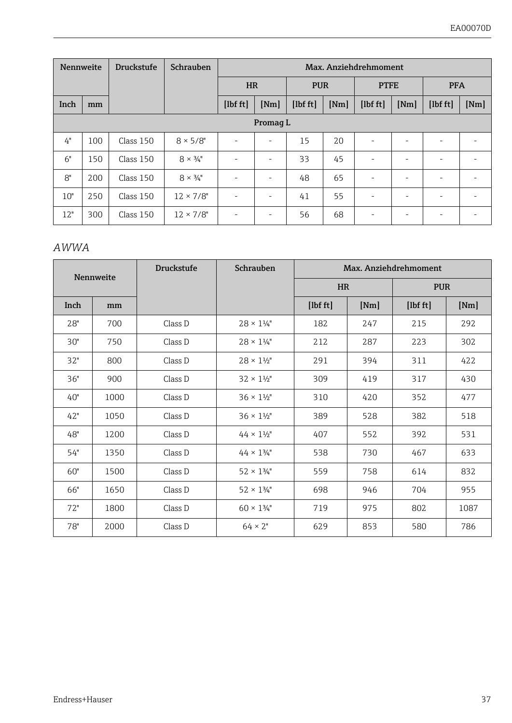| Nennweite |          | <b>Druckstufe</b> | Schrauben                |                          |      |             |      | Max. Anziehdrehmoment |      |                      |      |
|-----------|----------|-------------------|--------------------------|--------------------------|------|-------------|------|-----------------------|------|----------------------|------|
|           |          |                   |                          | <b>HR</b><br><b>PUR</b>  |      | <b>PTFE</b> |      | <b>PFA</b>            |      |                      |      |
| Inch      | mm       |                   |                          | [1bf ft]                 | [Nm] | [1bf ft]    | [Nm] | [1 <sub>bf</sub> ft]  | [Nm] | [1 <sub>bf</sub> ft] | [Nm] |
|           | Promag L |                   |                          |                          |      |             |      |                       |      |                      |      |
| 4"        | 100      | Class 150         | $8 \times 5/8$ "         | ٠                        | ۰.   | 15          | 20   | ٠                     | ۰    | ۰                    |      |
| 6"        | 150      | Class 150         | $8 \times \frac{3}{4}$ " | $\sim$                   | ۰    | 33          | 45   | ٠                     |      |                      |      |
| 8"        | 200      | Class 150         | $8 \times \frac{3}{4}$ " | ٠                        | ۰.   | 48          | 65   | ۰                     |      |                      |      |
| 10"       | 250      | Class 150         | $12 \times 7/8$ "        | $\sim$                   | ۰.   | 41          | 55   | ۰                     |      | ۰                    |      |
| 12"       | 300      | Class 150         | $12 \times 7/8$ "        | $\overline{\phantom{a}}$ |      | 56          | 68   | ۰                     | ۰    | ۰                    |      |

#### *AWWA*

|      | Nennweite | <b>Druckstufe</b> | Schrauben                  | Max. Anziehdrehmoment |                         |            |      |  |  |
|------|-----------|-------------------|----------------------------|-----------------------|-------------------------|------------|------|--|--|
|      |           |                   |                            |                       | <b>HR</b><br><b>PUR</b> |            |      |  |  |
| Inch | mm        |                   |                            | [1bf ft]              | [Nm]                    | $[1b f t]$ | [Nm] |  |  |
| 28"  | 700       | Class D           | $28 \times 1\frac{1}{4}$   | 182                   | 247                     | 215        | 292  |  |  |
| 30"  | 750       | Class D           | $28 \times 1\frac{1}{4}$   | 212                   | 287                     | 223        | 302  |  |  |
| 32"  | 800       | Class D           | $28 \times 1\frac{1}{2}$   | 291                   | 394                     | 311        | 422  |  |  |
| 36"  | 900       | Class D           | $32 \times 1\frac{1}{2}$   | 309                   | 419                     | 317        | 430  |  |  |
| 40"  | 1000      | Class D           | $36 \times 1\frac{1}{2}$   | 310                   | 420                     | 352        | 477  |  |  |
| 42"  | 1050      | Class D           | $36 \times 1\frac{1}{2}$   | 389                   | 528                     | 382        | 518  |  |  |
| 48"  | 1200      | Class D           | $44 \times 1\frac{1}{2}$ " | 407                   | 552                     | 392        | 531  |  |  |
| 54"  | 1350      | Class D           | $44 \times 134$ "          | 538                   | 730                     | 467        | 633  |  |  |
| 60"  | 1500      | Class D           | $52 \times 134$ "          | 559                   | 758                     | 614        | 832  |  |  |
| 66"  | 1650      | Class D           | $52 \times 134$ "          | 698                   | 946                     | 704        | 955  |  |  |
| 72"  | 1800      | Class D           | $60 \times 1\frac{3}{4}$ " | 719                   | 975                     | 802        | 1087 |  |  |
| 78"  | 2000      | Class D           | $64 \times 2$ "            | 629                   | 853                     | 580        | 786  |  |  |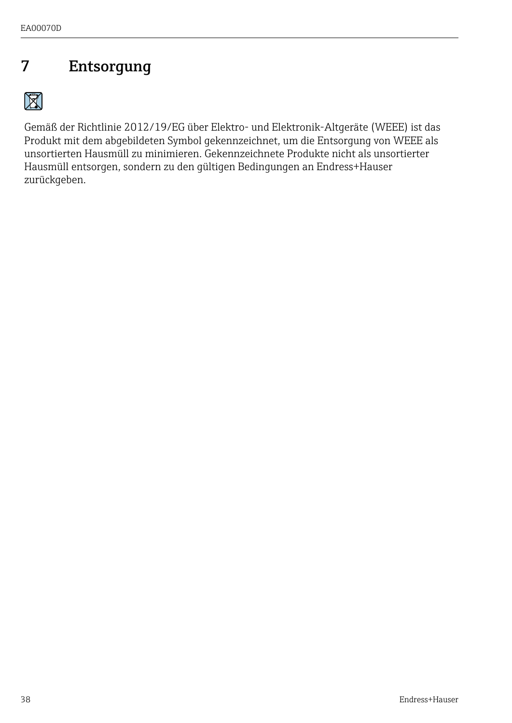### <span id="page-37-0"></span>7 Entsorgung

 $\boxtimes$ 

Gemäß der Richtlinie 2012/19/EG über Elektro- und Elektronik-Altgeräte (WEEE) ist das Produkt mit dem abgebildeten Symbol gekennzeichnet, um die Entsorgung von WEEE als unsortierten Hausmüll zu minimieren. Gekennzeichnete Produkte nicht als unsortierter Hausmüll entsorgen, sondern zu den gültigen Bedingungen an Endress+Hauser zurückgeben.